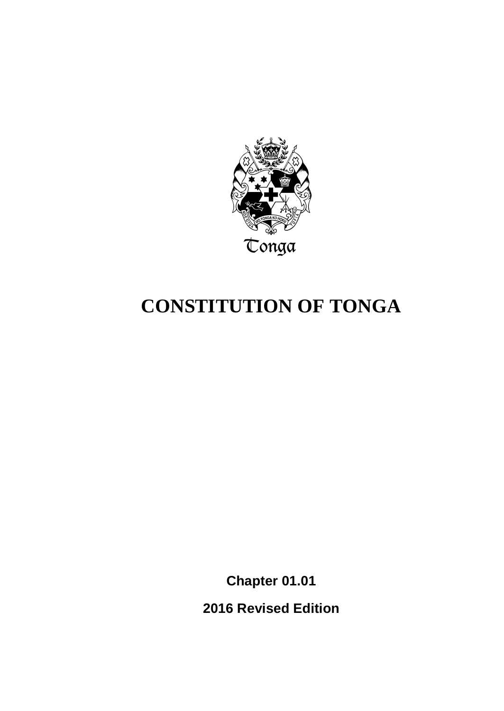

# **CONSTITUTION OF TONGA**

**Chapter 01.01**

**2016 Revised Edition**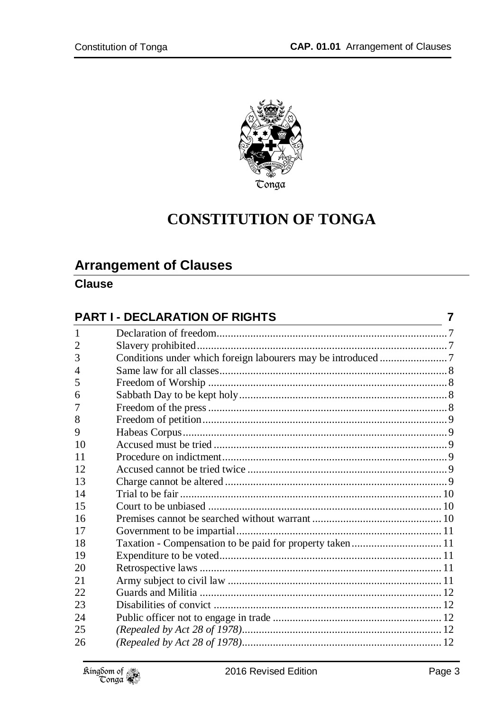

# **CONSTITUTION OF TONGA**

# **Arrangement of Clauses**

# **Clause**

| <b>PART I - DECLARATION OF RIGHTS</b> |                                                          | 7 |
|---------------------------------------|----------------------------------------------------------|---|
| 1                                     |                                                          |   |
| 2                                     |                                                          |   |
| 3                                     |                                                          |   |
| 4                                     |                                                          |   |
| 5                                     |                                                          |   |
| 6                                     |                                                          |   |
| 7                                     |                                                          |   |
| 8                                     |                                                          |   |
| 9                                     |                                                          |   |
| 10                                    |                                                          |   |
| 11                                    |                                                          |   |
| 12                                    |                                                          |   |
| 13                                    |                                                          |   |
| 14                                    |                                                          |   |
| 15                                    |                                                          |   |
| 16                                    |                                                          |   |
| 17                                    |                                                          |   |
| 18                                    | Taxation - Compensation to be paid for property taken 11 |   |
| 19                                    |                                                          |   |
| 20                                    |                                                          |   |
| 21                                    |                                                          |   |
| 22                                    |                                                          |   |
| 23                                    |                                                          |   |
| 24                                    |                                                          |   |
| 25                                    |                                                          |   |
| 26                                    |                                                          |   |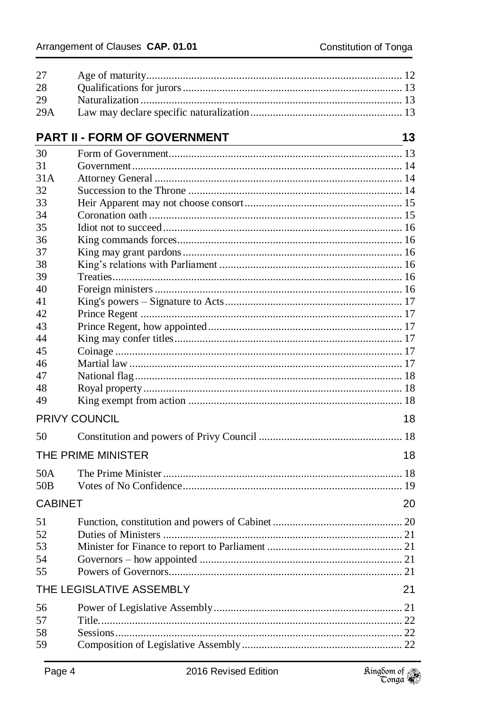| 27              |                                     |    |
|-----------------|-------------------------------------|----|
| 28              |                                     |    |
| 29              |                                     |    |
| 29A             |                                     |    |
|                 |                                     |    |
|                 | <b>PART II - FORM OF GOVERNMENT</b> | 13 |
| 30              |                                     |    |
| 31              |                                     |    |
| 31A             |                                     |    |
| 32              |                                     |    |
| 33              |                                     |    |
| 34              |                                     |    |
| 35              |                                     |    |
| 36              |                                     |    |
| 37              |                                     |    |
| 38              |                                     |    |
| 39              |                                     |    |
| 40              |                                     |    |
| 41              |                                     |    |
| 42              |                                     |    |
| 43              |                                     |    |
| 44              |                                     |    |
| 45              |                                     |    |
| 46              |                                     |    |
| 47              |                                     |    |
| 48              |                                     |    |
| 49              |                                     |    |
|                 |                                     |    |
|                 | <b>PRIVY COUNCIL</b>                | 18 |
| 50              |                                     |    |
|                 | THE PRIME MINISTER                  | 18 |
| 50A             |                                     |    |
| 50 <sub>B</sub> |                                     |    |
| <b>CABINET</b>  | $\sim$ 20                           |    |
| 51              |                                     |    |
| 52              |                                     |    |
|                 |                                     |    |
| 53              |                                     |    |
| 54              |                                     |    |
| 55              |                                     |    |
|                 | THE LEGISLATIVE ASSEMBLY            | 21 |
| 56              |                                     |    |
| 57              |                                     |    |
| 58              |                                     |    |
| 59              |                                     |    |

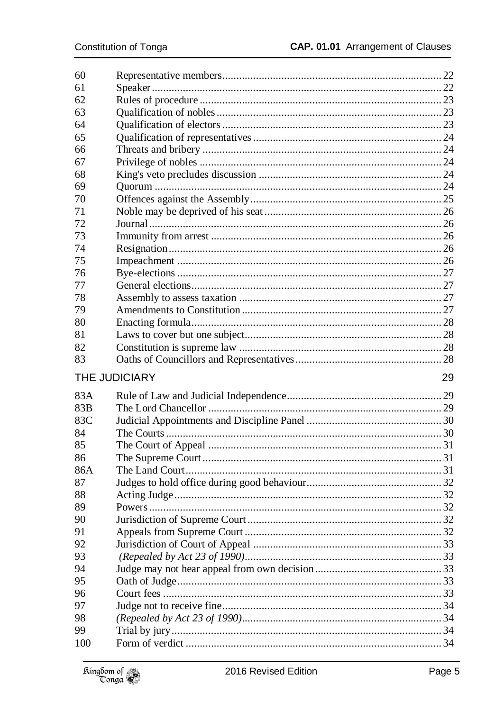| 60  |                      |    |
|-----|----------------------|----|
| 61  |                      |    |
| 62  |                      |    |
| 63  |                      |    |
| 64  |                      |    |
| 65  |                      |    |
| 66  |                      |    |
| 67  |                      |    |
| 68  |                      |    |
| 69  |                      |    |
| 70  |                      |    |
| 71  |                      |    |
| 72  |                      |    |
| 73  |                      |    |
| 74  |                      |    |
| 75  |                      |    |
| 76  |                      |    |
| 77  |                      |    |
| 78  |                      |    |
| 79  |                      |    |
| 80  |                      |    |
| 81  |                      |    |
| 82  |                      |    |
| 83  |                      |    |
|     |                      |    |
|     | <b>THE JUDICIARY</b> | 29 |
| 83A |                      |    |
| 83B |                      |    |
| 83C |                      |    |
| 84  |                      |    |
| 85  |                      |    |
| 86  |                      |    |
| 86A |                      |    |
| 87  |                      |    |
| 88  |                      |    |
| 89  |                      |    |
| 90  |                      |    |
| 91  |                      |    |
| 92  |                      |    |
|     |                      |    |
| 93  |                      |    |
| 94  |                      |    |
| 95  |                      |    |
| 96  |                      |    |
| 97  |                      |    |
| 98  |                      |    |
| 99  |                      |    |
| 100 |                      |    |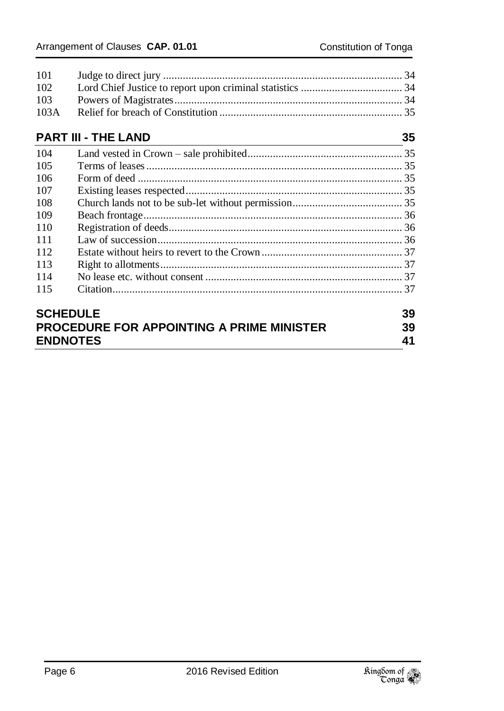| 101  |                                                                                                                                                     |    |
|------|-----------------------------------------------------------------------------------------------------------------------------------------------------|----|
| 102  |                                                                                                                                                     |    |
| 103  |                                                                                                                                                     |    |
| 103A |                                                                                                                                                     |    |
|      | <b>PART III - THE LAND</b><br><u> 1989 - Johann Harry Harry Harry Harry Harry Harry Harry Harry Harry Harry Harry Harry Harry Harry Harry Harry</u> | 35 |
| 104  |                                                                                                                                                     |    |
| 105  |                                                                                                                                                     |    |
| 106  |                                                                                                                                                     |    |
| 107  |                                                                                                                                                     |    |
| 108  |                                                                                                                                                     |    |
| 109  |                                                                                                                                                     |    |
| 110  |                                                                                                                                                     |    |
| 111  |                                                                                                                                                     |    |
| 112  |                                                                                                                                                     |    |
| 113  |                                                                                                                                                     |    |
| 114  |                                                                                                                                                     |    |
| 115  |                                                                                                                                                     |    |
|      | <b>SCHEDULE</b>                                                                                                                                     | 39 |
|      | <b>PROCEDURE FOR APPOINTING A PRIME MINISTER</b>                                                                                                    | 39 |
|      | <b>ENDNOTES</b>                                                                                                                                     | 41 |
|      |                                                                                                                                                     |    |

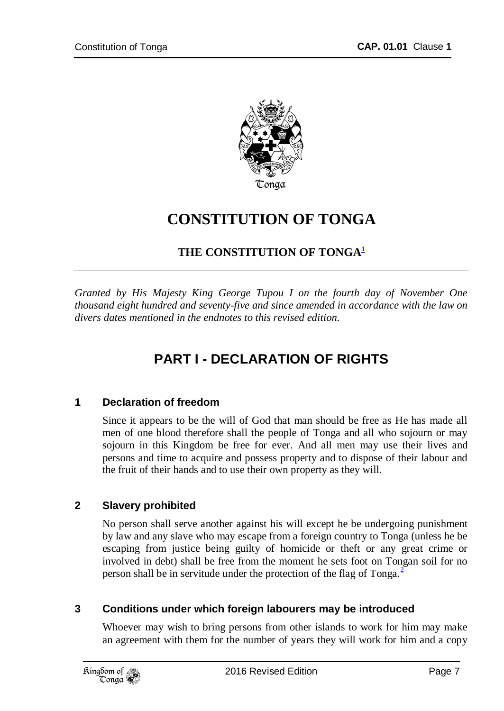

# **CONSTITUTION OF TONGA**

# <span id="page-6-4"></span>**THE CONSTITUTION OF TONG[A](#page-40-1)<sup>1</sup>**

<span id="page-6-0"></span>*Granted by His Majesty King George Tupou I on the fourth day of November One thousand eight hundred and seventy-five and since amended in accordance with the law on divers dates mentioned in the endnotes to this revised edition.*

# **PART I - DECLARATION OF RIGHTS**

#### <span id="page-6-1"></span>**1 Declaration of freedom**

Since it appears to be the will of God that man should be free as He has made all men of one blood therefore shall the people of Tonga and all who sojourn or may sojourn in this Kingdom be free for ever. And all men may use their lives and persons and time to acquire and possess property and to dispose of their labour and the fruit of their hands and to use their own property as they will.

# <span id="page-6-2"></span>**2 Slavery prohibited**

<span id="page-6-5"></span>No person shall serve another against his will except he be undergoing punishment by law and any slave who may escape from a foreign country to Tonga (unless he be escaping from justice being guilty of homicide or theft or any great crime or involved in debt) shall be free from the moment he sets foot on Tongan soil for no person shall be in servitude under the protection of the flag of Tonga. $^2$  $^2$ 

#### <span id="page-6-3"></span>**3 Conditions under which foreign labourers may be introduced**

Whoever may wish to bring persons from other islands to work for him may make an agreement with them for the number of years they will work for him and a copy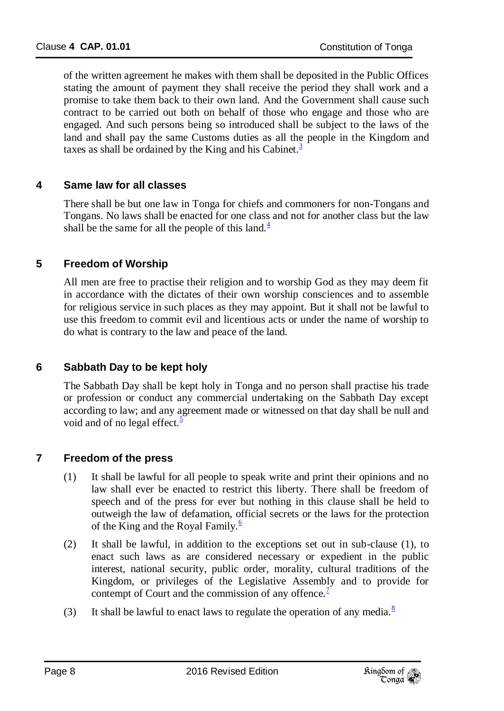of the written agreement he makes with them shall be deposited in the Public Offices stating the amount of payment they shall receive the period they shall work and a promise to take them back to their own land. And the Government shall cause such contract to be carried out both on behalf of those who engage and those who are engaged. And such persons being so introduced shall be subject to the laws of the land and shall pay the same Customs duties as all the people in the Kingdom and taxes as shall be ordained by the King and his Cabinet[.](#page-40-3) $3$ 

# <span id="page-7-0"></span>**4 Same law for all classes**

<span id="page-7-5"></span><span id="page-7-4"></span>There shall be but one law in Tonga for chiefs and commoners for non-Tongans and Tongans. No laws shall be enacted for one class and not for another class but the law shall be the same for all the people of this land. $\frac{4}{3}$  $\frac{4}{3}$  $\frac{4}{3}$ 

#### <span id="page-7-1"></span>**5 Freedom of Worship**

All men are free to practise their religion and to worship God as they may deem fit in accordance with the dictates of their own worship consciences and to assemble for religious service in such places as they may appoint. But it shall not be lawful to use this freedom to commit evil and licentious acts or under the name of worship to do what is contrary to the law and peace of the land.

# <span id="page-7-2"></span>**6 Sabbath Day to be kept holy**

<span id="page-7-6"></span>The Sabbath Day shall be kept holy in Tonga and no person shall practise his trade or profession or conduct any commercial undertaking on the Sabbath Day except according to law; and any agreement made or witnessed on that day shall be null and void and of no legal effect*[.](#page-40-5)* 5

# <span id="page-7-3"></span>**7 Freedom of the press**

- (1) It shall be lawful for all people to speak write and print their opinions and no law shall ever be enacted to restrict this liberty. There shall be freedom of speech and of the press for ever but nothing in this clause shall be held to outweigh the law of defamation, official secrets or the laws for the protection of the King and the Royal Family.<sup>[6](#page-40-6)</sup>
- <span id="page-7-7"></span>(2) It shall be lawful, in addition to the exceptions set out in sub-clause (1), to enact such laws as are considered necessary or expedient in the public interest, national security, public order, morality, cultural traditions of the Kingdom, or privileges of the Legislative Assembly and to provide for contempt of Court and the commission of any offence. $\frac{7}{1}$  $\frac{7}{1}$  $\frac{7}{1}$
- <span id="page-7-9"></span><span id="page-7-8"></span>(3) It shall be lawful to enact laws to regulate the operation of any media.<sup>[8](#page-41-0)</sup>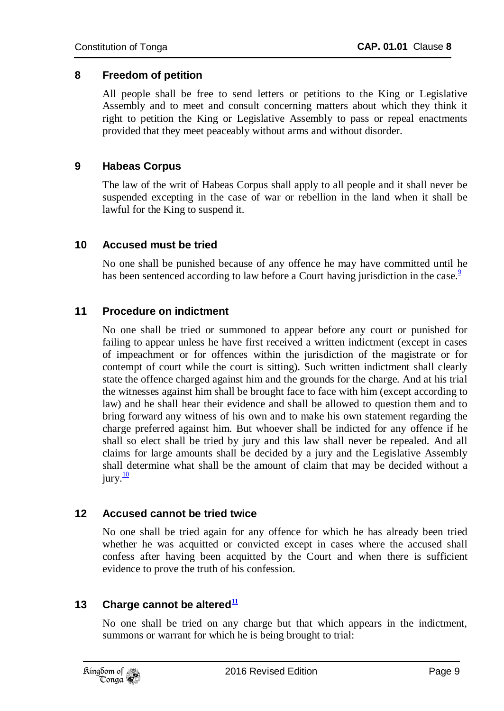### <span id="page-8-0"></span>**8 Freedom of petition**

All people shall be free to send letters or petitions to the King or Legislative Assembly and to meet and consult concerning matters about which they think it right to petition the King or Legislative Assembly to pass or repeal enactments provided that they meet peaceably without arms and without disorder.

### <span id="page-8-1"></span>**9 Habeas Corpus**

The law of the writ of Habeas Corpus shall apply to all people and it shall never be suspended excepting in the case of war or rebellion in the land when it shall be lawful for the King to suspend it.

#### <span id="page-8-2"></span>**10 Accused must be tried**

<span id="page-8-6"></span>No one shall be punished because of any offence he may have committed until he has been sentenced according to law before a Court having jurisdiction in the case. $\frac{9}{2}$  $\frac{9}{2}$  $\frac{9}{2}$ 

#### <span id="page-8-3"></span>**11 Procedure on indictment**

No one shall be tried or summoned to appear before any court or punished for failing to appear unless he have first received a written indictment (except in cases of impeachment or for offences within the jurisdiction of the magistrate or for contempt of court while the court is sitting). Such written indictment shall clearly state the offence charged against him and the grounds for the charge. And at his trial the witnesses against him shall be brought face to face with him (except according to law) and he shall hear their evidence and shall be allowed to question them and to bring forward any witness of his own and to make his own statement regarding the charge preferred against him. But whoever shall be indicted for any offence if he shall so elect shall be tried by jury and this law shall never be repealed. And all claims for large amounts shall be decided by a jury and the Legislative Assembly shall determine what shall be the amount of claim that may be decided without a jury. $\frac{10}{10}$  $\frac{10}{10}$  $\frac{10}{10}$ 

#### <span id="page-8-4"></span>**12 Accused cannot be tried twice**

<span id="page-8-7"></span>No one shall be tried again for any offence for which he has already been tried whether he was acquitted or convicted except in cases where the accused shall confess after having been acquitted by the Court and when there is sufficient evidence to prove the truth of his confession.

# <span id="page-8-5"></span>**13 Charge cannot be altered[11](#page-41-3)**

<span id="page-8-8"></span>No one shall be tried on any charge but that which appears in the indictment, summons or warrant for which he is being brought to trial: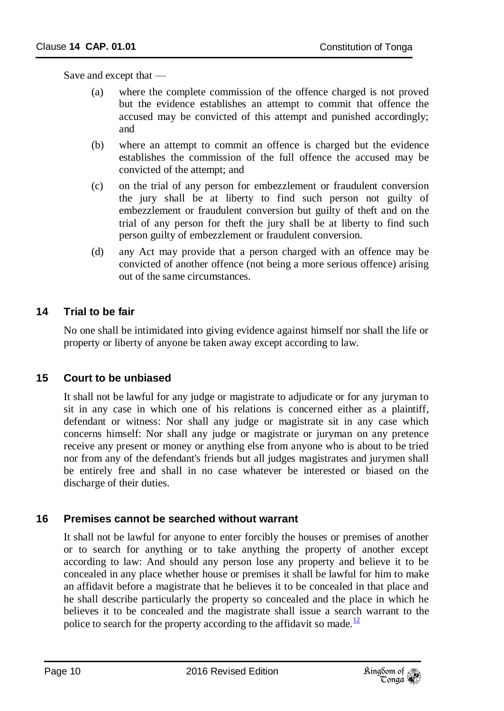Save and except that —

- (a) where the complete commission of the offence charged is not proved but the evidence establishes an attempt to commit that offence the accused may be convicted of this attempt and punished accordingly; and
- (b) where an attempt to commit an offence is charged but the evidence establishes the commission of the full offence the accused may be convicted of the attempt; and
- (c) on the trial of any person for embezzlement or fraudulent conversion the jury shall be at liberty to find such person not guilty of embezzlement or fraudulent conversion but guilty of theft and on the trial of any person for theft the jury shall be at liberty to find such person guilty of embezzlement or fraudulent conversion.
- (d) any Act may provide that a person charged with an offence may be convicted of another offence (not being a more serious offence) arising out of the same circumstances.

#### <span id="page-9-0"></span>**14 Trial to be fair**

No one shall be intimidated into giving evidence against himself nor shall the life or property or liberty of anyone be taken away except according to law.

#### <span id="page-9-1"></span>**15 Court to be unbiased**

It shall not be lawful for any judge or magistrate to adjudicate or for any juryman to sit in any case in which one of his relations is concerned either as a plaintiff, defendant or witness: Nor shall any judge or magistrate sit in any case which concerns himself: Nor shall any judge or magistrate or juryman on any pretence receive any present or money or anything else from anyone who is about to be tried nor from any of the defendant's friends but all judges magistrates and jurymen shall be entirely free and shall in no case whatever be interested or biased on the discharge of their duties.

#### <span id="page-9-2"></span>**16 Premises cannot be searched without warrant**

It shall not be lawful for anyone to enter forcibly the houses or premises of another or to search for anything or to take anything the property of another except according to law: And should any person lose any property and believe it to be concealed in any place whether house or premises it shall be lawful for him to make an affidavit before a magistrate that he believes it to be concealed in that place and he shall describe particularly the property so concealed and the place in which he believes it to be concealed and the magistrate shall issue a search warrant to the police to search for the property according to the affidavit so made.<sup>[12](#page-41-4)</sup>

<span id="page-9-3"></span>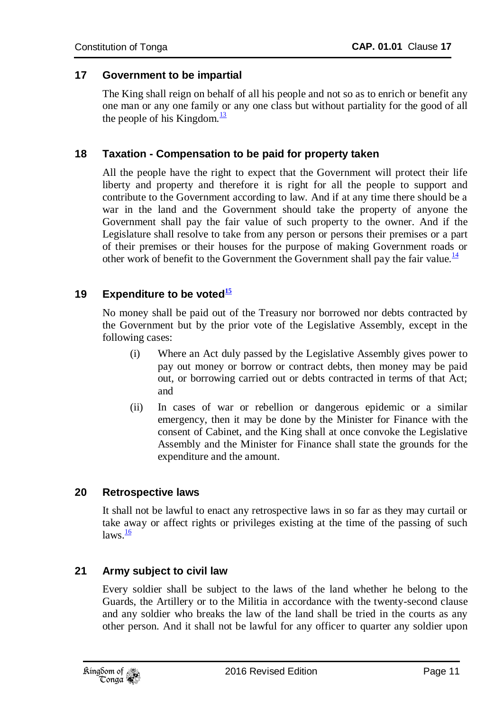#### <span id="page-10-0"></span>**17 Government to be impartial**

<span id="page-10-5"></span>The King shall reign on behalf of all his people and not so as to enrich or benefit any one man or any one family or any one class but without partiality for the good of all the people of his Kingdom. $\frac{13}{2}$  $\frac{13}{2}$  $\frac{13}{2}$ 

#### <span id="page-10-1"></span>**18 Taxation - Compensation to be paid for property taken**

All the people have the right to expect that the Government will protect their life liberty and property and therefore it is right for all the people to support and contribute to the Government according to law. And if at any time there should be a war in the land and the Government should take the property of anyone the Government shall pay the fair value of such property to the owner. And if the Legislature shall resolve to take from any person or persons their premises or a part of their premises or their houses for the purpose of making Government roads or other work of benefit to the Government the Government shall pay the fair value.<sup>[14](#page-41-6)</sup>

#### <span id="page-10-2"></span>**19 Expenditure to be voted[15](#page-41-7)**

No money shall be paid out of the Treasury nor borrowed nor debts contracted by the Government but by the prior vote of the Legislative Assembly, except in the following cases:

- <span id="page-10-7"></span><span id="page-10-6"></span>(i) Where an Act duly passed by the Legislative Assembly gives power to pay out money or borrow or contract debts, then money may be paid out, or borrowing carried out or debts contracted in terms of that Act; and
- (ii) In cases of war or rebellion or dangerous epidemic or a similar emergency, then it may be done by the Minister for Finance with the consent of Cabinet, and the King shall at once convoke the Legislative Assembly and the Minister for Finance shall state the grounds for the expenditure and the amount.

#### <span id="page-10-3"></span>**20 Retrospective laws**

<span id="page-10-8"></span>It shall not be lawful to enact any retrospective laws in so far as they may curtail or take away or affect rights or privileges existing at the time of the passing of such  $laws.$ <sup>[16](#page-41-8)</sup>

# <span id="page-10-4"></span>**21 Army subject to civil law**

Every soldier shall be subject to the laws of the land whether he belong to the Guards, the Artillery or to the Militia in accordance with the twenty-second clause and any soldier who breaks the law of the land shall be tried in the courts as any other person. And it shall not be lawful for any officer to quarter any soldier upon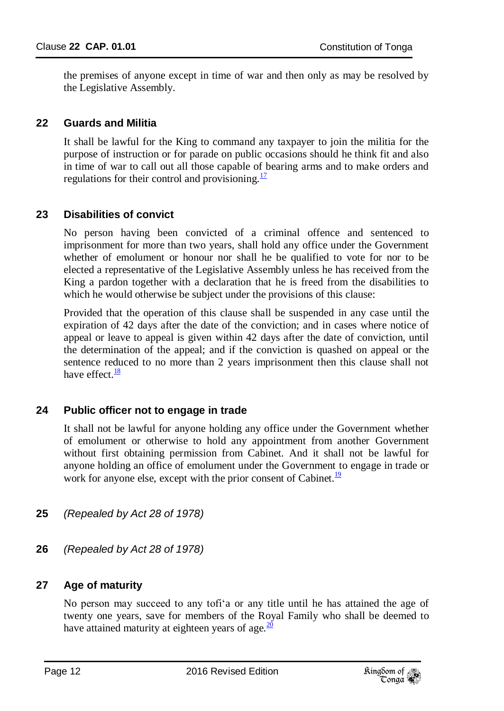the premises of anyone except in time of war and then only as may be resolved by the Legislative Assembly.

#### <span id="page-11-0"></span>**22 Guards and Militia**

<span id="page-11-6"></span>It shall be lawful for the King to command any taxpayer to join the militia for the purpose of instruction or for parade on public occasions should he think fit and also in time of war to call out all those capable of bearing arms and to make orders and regulations for their control and provisioning. $\frac{17}{17}$  $\frac{17}{17}$  $\frac{17}{17}$ 

#### <span id="page-11-1"></span>**23 Disabilities of convict**

No person having been convicted of a criminal offence and sentenced to imprisonment for more than two years, shall hold any office under the Government whether of emolument or honour nor shall he be qualified to vote for nor to be elected a representative of the Legislative Assembly unless he has received from the King a pardon together with a declaration that he is freed from the disabilities to which he would otherwise be subject under the provisions of this clause:

Provided that the operation of this clause shall be suspended in any case until the expiration of 42 days after the date of the conviction; and in cases where notice of appeal or leave to appeal is given within 42 days after the date of conviction, until the determination of the appeal; and if the conviction is quashed on appeal or the sentence reduced to no more than 2 years imprisonment then this clause shall not have effect. $\frac{18}{5}$  $\frac{18}{5}$  $\frac{18}{5}$ 

#### <span id="page-11-2"></span>**24 Public officer not to engage in trade**

<span id="page-11-8"></span><span id="page-11-7"></span>It shall not be lawful for anyone holding any office under the Government whether of emolument or otherwise to hold any appointment from another Government without first obtaining permission from Cabinet. And it shall not be lawful for anyone holding an office of emolument under the Government to engage in trade or work for anyone else, except with the prior consent of Cabinet.<sup>[19](#page-41-11)</sup>

- <span id="page-11-4"></span><span id="page-11-3"></span>**25** *(Repealed by Act 28 of 1978)*
- <span id="page-11-5"></span>**26** *(Repealed by Act 28 of 1978)*

# **27 Age of maturity**

<span id="page-11-9"></span>No person may succeed to any tofi'a or any title until he has attained the age of twenty one years, save for members of the Royal Family who shall be deemed to have attained maturity at eighteen years of age. $\frac{20}{20}$  $\frac{20}{20}$  $\frac{20}{20}$ 

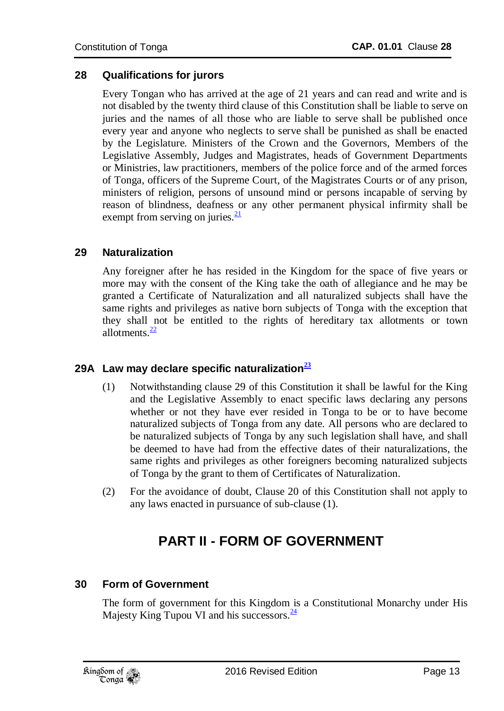### <span id="page-12-0"></span>**28 Qualifications for jurors**

Every Tongan who has arrived at the age of 21 years and can read and write and is not disabled by the twenty third clause of this Constitution shall be liable to serve on juries and the names of all those who are liable to serve shall be published once every year and anyone who neglects to serve shall be punished as shall be enacted by the Legislature. Ministers of the Crown and the Governors, Members of the Legislative Assembly, Judges and Magistrates, heads of Government Departments or Ministries, law practitioners, members of the police force and of the armed forces of Tonga, officers of the Supreme Court, of the Magistrates Courts or of any prison, ministers of religion, persons of unsound mind or persons incapable of serving by reason of blindness, deafness or any other permanent physical infirmity shall be exempt from serving on juries. $\frac{21}{2}$  $\frac{21}{2}$  $\frac{21}{2}$ 

#### <span id="page-12-1"></span>**29 Naturalization**

<span id="page-12-5"></span>Any foreigner after he has resided in the Kingdom for the space of five years or more may with the consent of the King take the oath of allegiance and he may be granted a Certificate of Naturalization and all naturalized subjects shall have the same rights and privileges as native born subjects of Tonga with the exception that they shall not be entitled to the rights of hereditary tax allotments or town allotments. $\frac{22}{2}$  $\frac{22}{2}$  $\frac{22}{2}$ 

#### <span id="page-12-2"></span>**29A Law may declare specific naturalization[23](#page-41-15)**

- <span id="page-12-7"></span><span id="page-12-6"></span>(1) Notwithstanding clause 29 of this Constitution it shall be lawful for the King and the Legislative Assembly to enact specific laws declaring any persons whether or not they have ever resided in Tonga to be or to have become naturalized subjects of Tonga from any date. All persons who are declared to be naturalized subjects of Tonga by any such legislation shall have, and shall be deemed to have had from the effective dates of their naturalizations, the same rights and privileges as other foreigners becoming naturalized subjects of Tonga by the grant to them of Certificates of Naturalization.
- <span id="page-12-3"></span>(2) For the avoidance of doubt, Clause 20 of this Constitution shall not apply to any laws enacted in pursuance of sub-clause (1).

# <span id="page-12-8"></span>**PART II - FORM OF GOVERNMENT**

#### <span id="page-12-4"></span>**30 Form of Government**

The form of government for this Kingdom is a Constitutional Monarchy under His Majesty King Tupou VI and his successors. $\frac{24}{3}$  $\frac{24}{3}$  $\frac{24}{3}$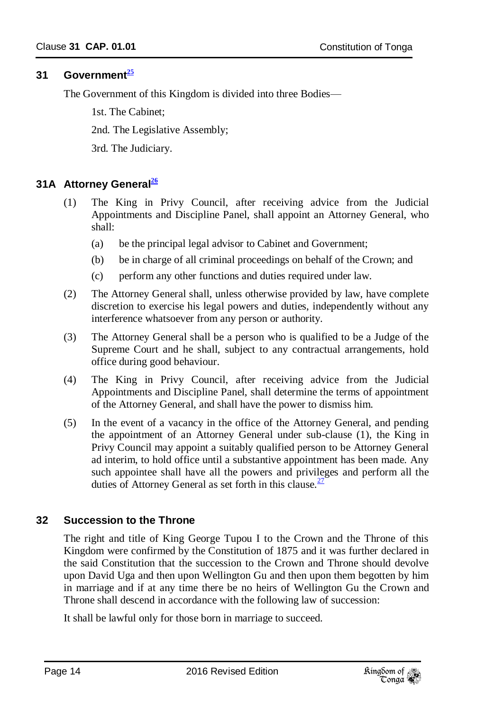#### <span id="page-13-0"></span>**31 Government[25](#page-41-17)**

The Government of this Kingdom is divided into three Bodies—

<span id="page-13-3"></span>1st. The Cabinet;

2nd. The Legislative Assembly;

<span id="page-13-4"></span>3rd. The Judiciary.

# <span id="page-13-1"></span>**31A Attorney General[26](#page-41-18)**

- (1) The King in Privy Council, after receiving advice from the Judicial Appointments and Discipline Panel, shall appoint an Attorney General, who shall:
	- (a) be the principal legal advisor to Cabinet and Government;
	- (b) be in charge of all criminal proceedings on behalf of the Crown; and
	- (c) perform any other functions and duties required under law.
- (2) The Attorney General shall, unless otherwise provided by law, have complete discretion to exercise his legal powers and duties, independently without any interference whatsoever from any person or authority.
- (3) The Attorney General shall be a person who is qualified to be a Judge of the Supreme Court and he shall, subject to any contractual arrangements, hold office during good behaviour.
- (4) The King in Privy Council, after receiving advice from the Judicial Appointments and Discipline Panel, shall determine the terms of appointment of the Attorney General, and shall have the power to dismiss him.
- (5) In the event of a vacancy in the office of the Attorney General, and pending the appointment of an Attorney General under sub-clause (1), the King in Privy Council may appoint a suitably qualified person to be Attorney General ad interim, to hold office until a substantive appointment has been made. Any such appointee shall have all the powers and privileges and perform all the duties of Attorney General as set forth in this clause. $\frac{27}{27}$  $\frac{27}{27}$  $\frac{27}{27}$

# <span id="page-13-2"></span>**32 Succession to the Throne**

The right and title of King George Tupou I to the Crown and the Throne of this Kingdom were confirmed by the Constitution of 1875 and it was further declared in the said Constitution that the succession to the Crown and Throne should devolve upon David Uga and then upon Wellington Gu and then upon them begotten by him in marriage and if at any time there be no heirs of Wellington Gu the Crown and Throne shall descend in accordance with the following law of succession:

It shall be lawful only for those born in marriage to succeed.

<span id="page-13-5"></span>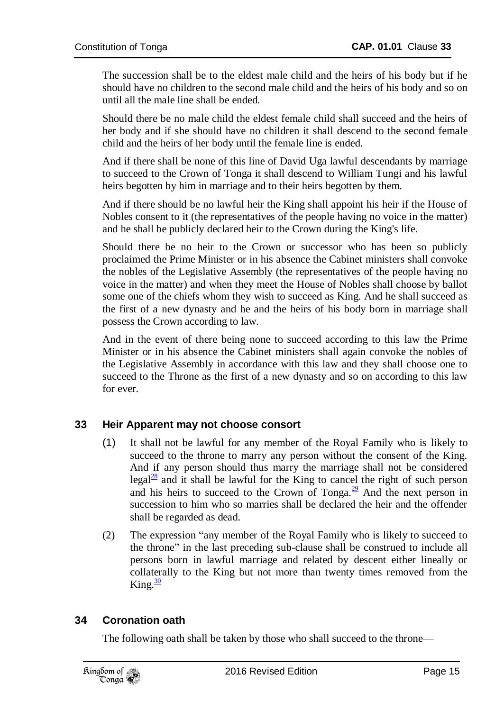The succession shall be to the eldest male child and the heirs of his body but if he should have no children to the second male child and the heirs of his body and so on until all the male line shall be ended.

Should there be no male child the eldest female child shall succeed and the heirs of her body and if she should have no children it shall descend to the second female child and the heirs of her body until the female line is ended.

And if there shall be none of this line of David Uga lawful descendants by marriage to succeed to the Crown of Tonga it shall descend to William Tungi and his lawful heirs begotten by him in marriage and to their heirs begotten by them.

And if there should be no lawful heir the King shall appoint his heir if the House of Nobles consent to it (the representatives of the people having no voice in the matter) and he shall be publicly declared heir to the Crown during the King's life.

Should there be no heir to the Crown or successor who has been so publicly proclaimed the Prime Minister or in his absence the Cabinet ministers shall convoke the nobles of the Legislative Assembly (the representatives of the people having no voice in the matter) and when they meet the House of Nobles shall choose by ballot some one of the chiefs whom they wish to succeed as King. And he shall succeed as the first of a new dynasty and he and the heirs of his body born in marriage shall possess the Crown according to law.

And in the event of there being none to succeed according to this law the Prime Minister or in his absence the Cabinet ministers shall again convoke the nobles of the Legislative Assembly in accordance with this law and they shall choose one to succeed to the Throne as the first of a new dynasty and so on according to this law for ever.

# <span id="page-14-0"></span>**33 Heir Apparent may not choose consort**

- <span id="page-14-2"></span>(1) It shall not be lawful for any member of the Royal Family who is likely to succeed to the throne to marry any person without the consent of the King. And if any person should thus marry the marriage shall not be considered  $\text{legal}^{28}$  $\text{legal}^{28}$  $\text{legal}^{28}$  and it shall be lawful for the King to cancel the right of such person and his heirs to succeed to the Crown of Tonga. $29$  And the next person in succession to him who so marries shall be declared the heir and the offender shall be regarded as dead.
- <span id="page-14-4"></span><span id="page-14-3"></span>(2) The expression "any member of the Royal Family who is likely to succeed to the throne" in the last preceding sub-clause shall be construed to include all persons born in lawful marriage and related by descent either lineally or collaterally to the King but not more than twenty times removed from the King. $\frac{30}{2}$  $\frac{30}{2}$  $\frac{30}{2}$

#### <span id="page-14-1"></span>**34 Coronation oath**

The following oath shall be taken by those who shall succeed to the throne—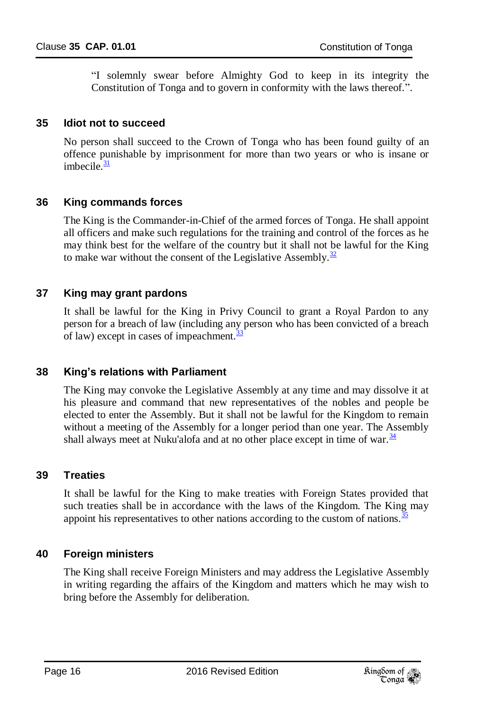"I solemnly swear before Almighty God to keep in its integrity the Constitution of Tonga and to govern in conformity with the laws thereof.".

#### <span id="page-15-0"></span>**35 Idiot not to succeed**

<span id="page-15-6"></span>No person shall succeed to the Crown of Tonga who has been found guilty of an offence punishable by imprisonment for more than two years or who is insane or imbecile $\frac{31}{2}$  $\frac{31}{2}$  $\frac{31}{2}$ 

#### <span id="page-15-1"></span>**36 King commands forces**

<span id="page-15-7"></span>The King is the Commander-in-Chief of the armed forces of Tonga. He shall appoint all officers and make such regulations for the training and control of the forces as he may think best for the welfare of the country but it shall not be lawful for the King to make war without the consent of the Legislative Assembly. $\frac{32}{2}$  $\frac{32}{2}$  $\frac{32}{2}$ 

#### <span id="page-15-2"></span>**37 King may grant pardons**

<span id="page-15-8"></span>It shall be lawful for the King in Privy Council to grant a Royal Pardon to any person for a breach of law (including any person who has been convicted of a breach of law) except in cases of impeachment. $\frac{33}{2}$  $\frac{33}{2}$  $\frac{33}{2}$ 

#### <span id="page-15-3"></span>**38 King's relations with Parliament**

<span id="page-15-9"></span>The King may convoke the Legislative Assembly at any time and may dissolve it at his pleasure and command that new representatives of the nobles and people be elected to enter the Assembly. But it shall not be lawful for the Kingdom to remain without a meeting of the Assembly for a longer period than one year. The Assembly shall always meet at Nuku'alofa and at no other place except in time of war.  $\frac{34}{3}$  $\frac{34}{3}$  $\frac{34}{3}$ 

# <span id="page-15-4"></span>**39 Treaties**

<span id="page-15-10"></span>It shall be lawful for the King to make treaties with Foreign States provided that such treaties shall be in accordance with the laws of the Kingdom. The King may appoint his representatives to other nations according to the custom of nations.  $\frac{35}{25}$  $\frac{35}{25}$  $\frac{35}{25}$ 

#### <span id="page-15-5"></span>**40 Foreign ministers**

The King shall receive Foreign Ministers and may address the Legislative Assembly in writing regarding the affairs of the Kingdom and matters which he may wish to bring before the Assembly for deliberation.

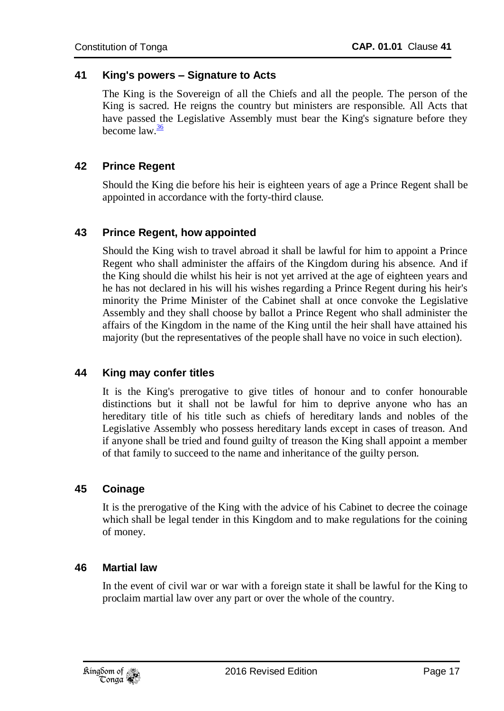#### <span id="page-16-0"></span>**41 King's powers – Signature to Acts**

<span id="page-16-6"></span>The King is the Sovereign of all the Chiefs and all the people. The person of the King is sacred. He reigns the country but ministers are responsible. All Acts that have passed the Legislative Assembly must bear the King's signature before they become law $\frac{36}{2}$  $\frac{36}{2}$  $\frac{36}{2}$ 

#### <span id="page-16-1"></span>**42 Prince Regent**

Should the King die before his heir is eighteen years of age a Prince Regent shall be appointed in accordance with the forty-third clause.

#### <span id="page-16-2"></span>**43 Prince Regent, how appointed**

Should the King wish to travel abroad it shall be lawful for him to appoint a Prince Regent who shall administer the affairs of the Kingdom during his absence. And if the King should die whilst his heir is not yet arrived at the age of eighteen years and he has not declared in his will his wishes regarding a Prince Regent during his heir's minority the Prime Minister of the Cabinet shall at once convoke the Legislative Assembly and they shall choose by ballot a Prince Regent who shall administer the affairs of the Kingdom in the name of the King until the heir shall have attained his majority (but the representatives of the people shall have no voice in such election).

# <span id="page-16-3"></span>**44 King may confer titles**

It is the King's prerogative to give titles of honour and to confer honourable distinctions but it shall not be lawful for him to deprive anyone who has an hereditary title of his title such as chiefs of hereditary lands and nobles of the Legislative Assembly who possess hereditary lands except in cases of treason. And if anyone shall be tried and found guilty of treason the King shall appoint a member of that family to succeed to the name and inheritance of the guilty person.

# <span id="page-16-4"></span>**45 Coinage**

It is the prerogative of the King with the advice of his Cabinet to decree the coinage which shall be legal tender in this Kingdom and to make regulations for the coining of money.

#### <span id="page-16-5"></span>**46 Martial law**

In the event of civil war or war with a foreign state it shall be lawful for the King to proclaim martial law over any part or over the whole of the country.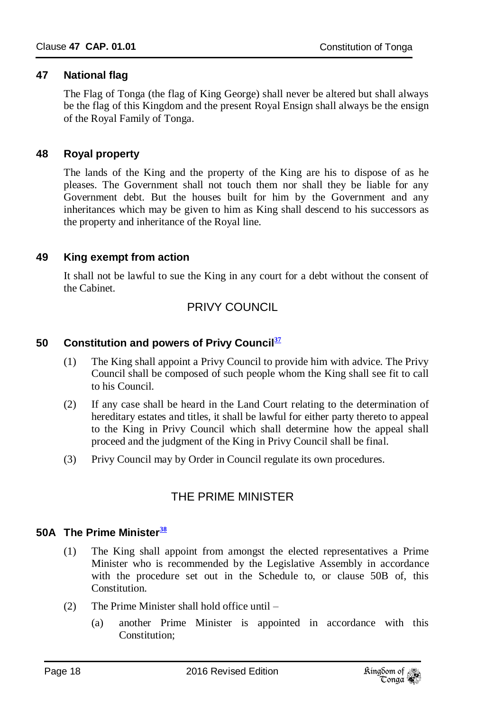#### <span id="page-17-0"></span>**47 National flag**

The Flag of Tonga (the flag of King George) shall never be altered but shall always be the flag of this Kingdom and the present Royal Ensign shall always be the ensign of the Royal Family of Tonga.

#### <span id="page-17-1"></span>**48 Royal property**

The lands of the King and the property of the King are his to dispose of as he pleases. The Government shall not touch them nor shall they be liable for any Government debt. But the houses built for him by the Government and any inheritances which may be given to him as King shall descend to his successors as the property and inheritance of the Royal line.

#### <span id="page-17-2"></span>**49 King exempt from action**

<span id="page-17-3"></span>It shall not be lawful to sue the King in any court for a debt without the consent of the Cabinet.

# <span id="page-17-7"></span>PRIVY COUNCIL

# <span id="page-17-4"></span>**50 Constitution and powers of Privy Council[37](#page-42-7)**

- (1) The King shall appoint a Privy Council to provide him with advice. The Privy Council shall be composed of such people whom the King shall see fit to call to his Council.
- (2) If any case shall be heard in the Land Court relating to the determination of hereditary estates and titles, it shall be lawful for either party thereto to appeal to the King in Privy Council which shall determine how the appeal shall proceed and the judgment of the King in Privy Council shall be final.
- (3) Privy Council may by Order in Council regulate its own procedures.

# <span id="page-17-8"></span>THE PRIME MINISTER

#### <span id="page-17-6"></span><span id="page-17-5"></span>**50A The Prime Minister[38](#page-42-8)**

- (1) The King shall appoint from amongst the elected representatives a Prime Minister who is recommended by the Legislative Assembly in accordance with the procedure set out in the Schedule to, or clause 50B of, this Constitution.
- (2) The Prime Minister shall hold office until
	- (a) another Prime Minister is appointed in accordance with this Constitution;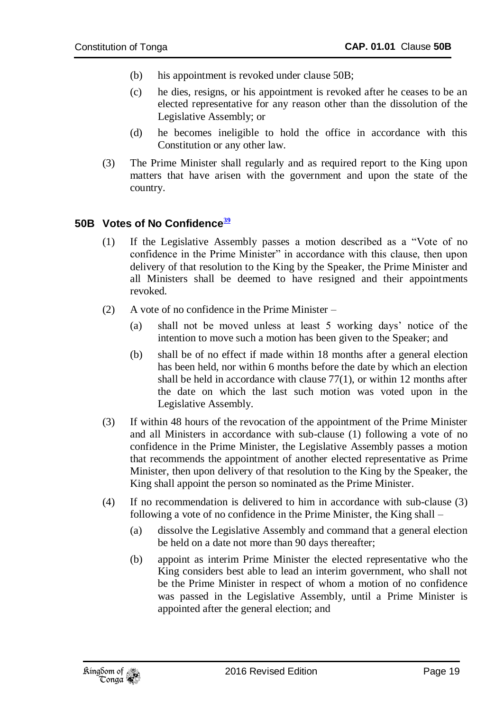- (b) his appointment is revoked under clause 50B;
- (c) he dies, resigns, or his appointment is revoked after he ceases to be an elected representative for any reason other than the dissolution of the Legislative Assembly; or
- <span id="page-18-1"></span>(d) he becomes ineligible to hold the office in accordance with this Constitution or any other law.
- (3) The Prime Minister shall regularly and as required report to the King upon matters that have arisen with the government and upon the state of the country.

### <span id="page-18-0"></span>**50B Votes of No Confidence[39](#page-42-9)**

- (1) If the Legislative Assembly passes a motion described as a "Vote of no confidence in the Prime Minister" in accordance with this clause, then upon delivery of that resolution to the King by the Speaker, the Prime Minister and all Ministers shall be deemed to have resigned and their appointments revoked.
- (2) A vote of no confidence in the Prime Minister
	- (a) shall not be moved unless at least 5 working days' notice of the intention to move such a motion has been given to the Speaker; and
	- (b) shall be of no effect if made within 18 months after a general election has been held, nor within 6 months before the date by which an election shall be held in accordance with clause 77(1), or within 12 months after the date on which the last such motion was voted upon in the Legislative Assembly.
- (3) If within 48 hours of the revocation of the appointment of the Prime Minister and all Ministers in accordance with sub-clause (1) following a vote of no confidence in the Prime Minister, the Legislative Assembly passes a motion that recommends the appointment of another elected representative as Prime Minister, then upon delivery of that resolution to the King by the Speaker, the King shall appoint the person so nominated as the Prime Minister.
- (4) If no recommendation is delivered to him in accordance with sub-clause (3) following a vote of no confidence in the Prime Minister, the King shall –
	- (a) dissolve the Legislative Assembly and command that a general election be held on a date not more than 90 days thereafter;
	- (b) appoint as interim Prime Minister the elected representative who the King considers best able to lead an interim government, who shall not be the Prime Minister in respect of whom a motion of no confidence was passed in the Legislative Assembly, until a Prime Minister is appointed after the general election; and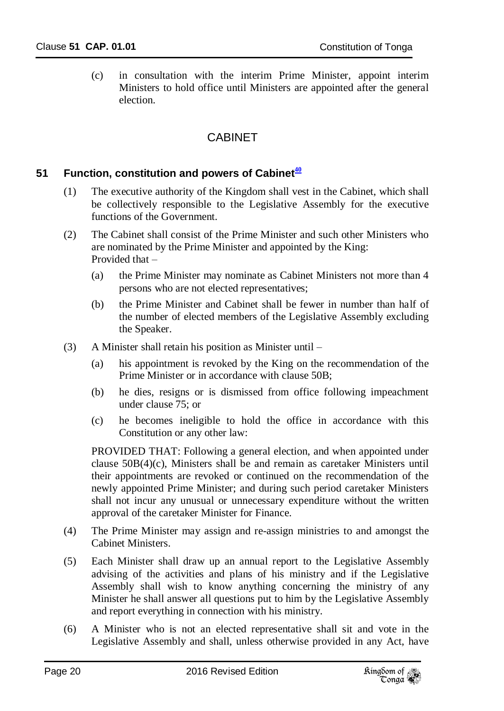(c) in consultation with the interim Prime Minister, appoint interim Ministers to hold office until Ministers are appointed after the general election.

# <span id="page-19-2"></span>**CABINET**

#### <span id="page-19-1"></span><span id="page-19-0"></span>**51 Function, constitution and powers of Cabinet[40](#page-42-10)**

- (1) The executive authority of the Kingdom shall vest in the Cabinet, which shall be collectively responsible to the Legislative Assembly for the executive functions of the Government.
- (2) The Cabinet shall consist of the Prime Minister and such other Ministers who are nominated by the Prime Minister and appointed by the King: Provided that –
	- (a) the Prime Minister may nominate as Cabinet Ministers not more than 4 persons who are not elected representatives;
	- (b) the Prime Minister and Cabinet shall be fewer in number than half of the number of elected members of the Legislative Assembly excluding the Speaker.
- (3) A Minister shall retain his position as Minister until
	- (a) his appointment is revoked by the King on the recommendation of the Prime Minister or in accordance with clause 50B;
	- (b) he dies, resigns or is dismissed from office following impeachment under clause 75; or
	- (c) he becomes ineligible to hold the office in accordance with this Constitution or any other law:

PROVIDED THAT: Following a general election, and when appointed under clause 50B(4)(c), Ministers shall be and remain as caretaker Ministers until their appointments are revoked or continued on the recommendation of the newly appointed Prime Minister; and during such period caretaker Ministers shall not incur any unusual or unnecessary expenditure without the written approval of the caretaker Minister for Finance.

- (4) The Prime Minister may assign and re-assign ministries to and amongst the Cabinet Ministers.
- (5) Each Minister shall draw up an annual report to the Legislative Assembly advising of the activities and plans of his ministry and if the Legislative Assembly shall wish to know anything concerning the ministry of any Minister he shall answer all questions put to him by the Legislative Assembly and report everything in connection with his ministry.
- (6) A Minister who is not an elected representative shall sit and vote in the Legislative Assembly and shall, unless otherwise provided in any Act, have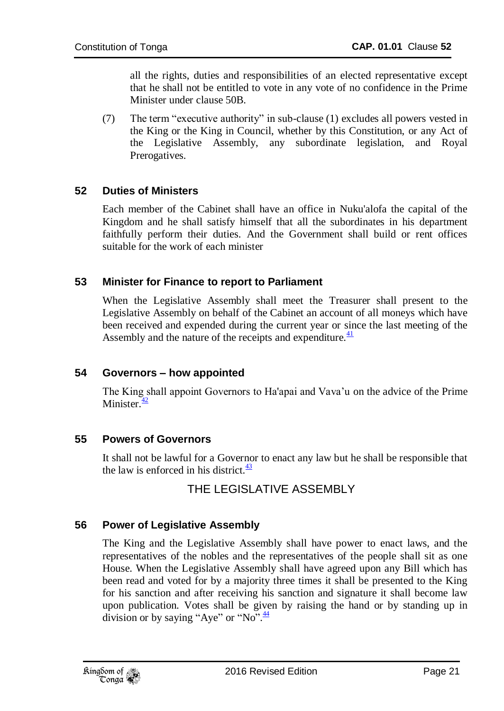all the rights, duties and responsibilities of an elected representative except that he shall not be entitled to vote in any vote of no confidence in the Prime Minister under clause 50B.

(7) The term "executive authority" in sub-clause (1) excludes all powers vested in the King or the King in Council, whether by this Constitution, or any Act of the Legislative Assembly, any subordinate legislation, and Royal Prerogatives.

#### <span id="page-20-0"></span>**52 Duties of Ministers**

Each member of the Cabinet shall have an office in Nuku'alofa the capital of the Kingdom and he shall satisfy himself that all the subordinates in his department faithfully perform their duties. And the Government shall build or rent offices suitable for the work of each minister

#### <span id="page-20-1"></span>**53 Minister for Finance to report to Parliament**

When the Legislative Assembly shall meet the Treasurer shall present to the Legislative Assembly on behalf of the Cabinet an account of all moneys which have been received and expended during the current year or since the last meeting of the Assembly and the nature of the receipts and expenditure. $\frac{41}{41}$  $\frac{41}{41}$  $\frac{41}{41}$ 

# <span id="page-20-2"></span>**54 Governors – how appointed**

<span id="page-20-7"></span>The King shall appoint Governors to Ha'apai and Vava'u on the advice of the Prime Minister.<sup>[42](#page-42-12)</sup>

# <span id="page-20-3"></span>**55 Powers of Governors**

<span id="page-20-4"></span>It shall not be lawful for a Governor to enact any law but he shall be responsible that the law is enforced in his district.<sup>[43](#page-42-13)</sup>

# <span id="page-20-9"></span><span id="page-20-8"></span><span id="page-20-6"></span>THE LEGISLATIVE ASSEMBLY

#### <span id="page-20-5"></span>**56 Power of Legislative Assembly**

The King and the Legislative Assembly shall have power to enact laws, and the representatives of the nobles and the representatives of the people shall sit as one House. When the Legislative Assembly shall have agreed upon any Bill which has been read and voted for by a majority three times it shall be presented to the King for his sanction and after receiving his sanction and signature it shall become law upon publication. Votes shall be given by raising the hand or by standing up in division or by saying "Aye" or "No".<sup>[44](#page-42-14)</sup>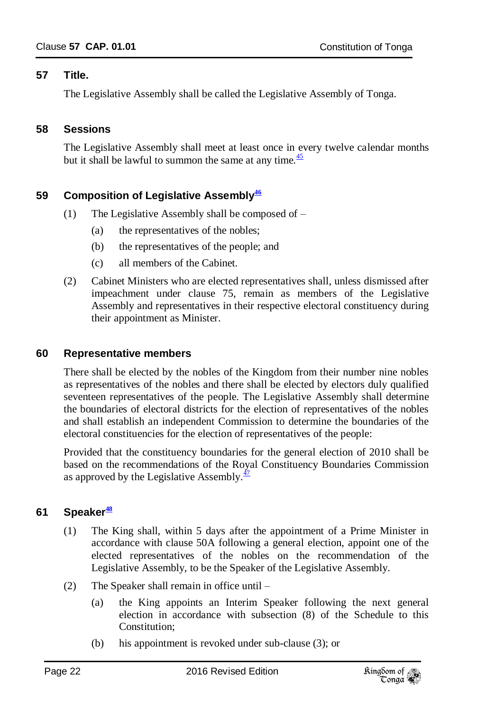#### <span id="page-21-0"></span>**57 Title.**

The Legislative Assembly shall be called the Legislative Assembly of Tonga.

#### <span id="page-21-1"></span>**58 Sessions**

<span id="page-21-6"></span><span id="page-21-5"></span>The Legislative Assembly shall meet at least once in every twelve calendar months but it shall be lawful to summon the same at any time. $\frac{45}{5}$  $\frac{45}{5}$  $\frac{45}{5}$ 

# <span id="page-21-2"></span>**59 Composition of Legislative Assembly[46](#page-42-16)**

- (1) The Legislative Assembly shall be composed of
	- (a) the representatives of the nobles;
	- (b) the representatives of the people; and
	- (c) all members of the Cabinet.
- (2) Cabinet Ministers who are elected representatives shall, unless dismissed after impeachment under clause 75, remain as members of the Legislative Assembly and representatives in their respective electoral constituency during their appointment as Minister.

#### <span id="page-21-3"></span>**60 Representative members**

There shall be elected by the nobles of the Kingdom from their number nine nobles as representatives of the nobles and there shall be elected by electors duly qualified seventeen representatives of the people. The Legislative Assembly shall determine the boundaries of electoral districts for the election of representatives of the nobles and shall establish an independent Commission to determine the boundaries of the electoral constituencies for the election of representatives of the people:

<span id="page-21-8"></span><span id="page-21-7"></span>Provided that the constituency boundaries for the general election of 2010 shall be based on the recommendations of the Royal Constituency Boundaries Commission as approved by the Legislative Assembly. $\frac{47}{1}$  $\frac{47}{1}$  $\frac{47}{1}$ 

# <span id="page-21-4"></span>**61 Speaker[48](#page-42-18)**

- (1) The King shall, within 5 days after the appointment of a Prime Minister in accordance with clause 50A following a general election, appoint one of the elected representatives of the nobles on the recommendation of the Legislative Assembly, to be the Speaker of the Legislative Assembly.
- (2) The Speaker shall remain in office until
	- (a) the King appoints an Interim Speaker following the next general election in accordance with subsection (8) of the Schedule to this Constitution;
	- (b) his appointment is revoked under sub-clause (3); or

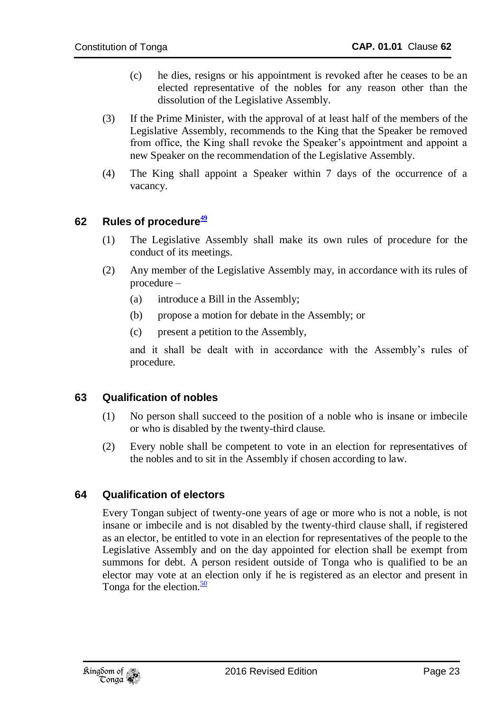- (c) he dies, resigns or his appointment is revoked after he ceases to be an elected representative of the nobles for any reason other than the dissolution of the Legislative Assembly.
- (3) If the Prime Minister, with the approval of at least half of the members of the Legislative Assembly, recommends to the King that the Speaker be removed from office, the King shall revoke the Speaker's appointment and appoint a new Speaker on the recommendation of the Legislative Assembly.
- <span id="page-22-3"></span>(4) The King shall appoint a Speaker within 7 days of the occurrence of a vacancy.

#### <span id="page-22-0"></span>**62 Rules of procedure[49](#page-42-19)**

- (1) The Legislative Assembly shall make its own rules of procedure for the conduct of its meetings.
- (2) Any member of the Legislative Assembly may, in accordance with its rules of procedure –
	- (a) introduce a Bill in the Assembly;
	- (b) propose a motion for debate in the Assembly; or
	- (c) present a petition to the Assembly,

and it shall be dealt with in accordance with the Assembly's rules of procedure.

#### <span id="page-22-1"></span>**63 Qualification of nobles**

- (1) No person shall succeed to the position of a noble who is insane or imbecile or who is disabled by the twenty-third clause.
- (2) Every noble shall be competent to vote in an election for representatives of the nobles and to sit in the Assembly if chosen according to law.

#### <span id="page-22-2"></span>**64 Qualification of electors**

<span id="page-22-4"></span>Every Tongan subject of twenty-one years of age or more who is not a noble, is not insane or imbecile and is not disabled by the twenty-third clause shall, if registered as an elector, be entitled to vote in an election for representatives of the people to the Legislative Assembly and on the day appointed for election shall be exempt from summons for debt. A person resident outside of Tonga who is qualified to be an elector may vote at an election only if he is registered as an elector and present in Tonga for the election. $\frac{50}{20}$  $\frac{50}{20}$  $\frac{50}{20}$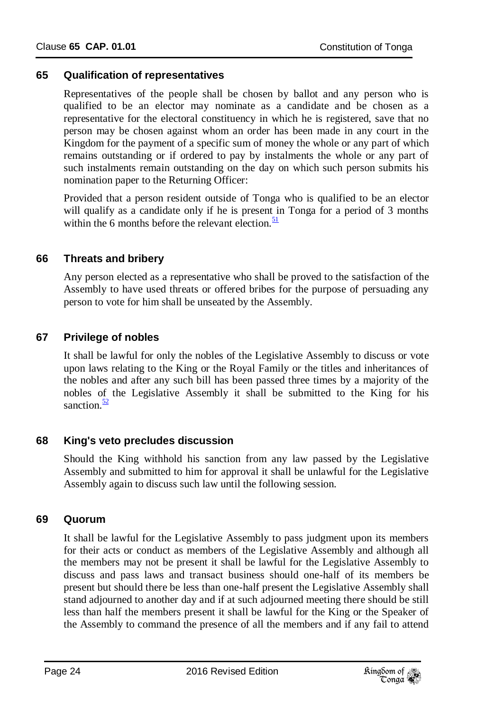#### <span id="page-23-0"></span>**65 Qualification of representatives**

Representatives of the people shall be chosen by ballot and any person who is qualified to be an elector may nominate as a candidate and be chosen as a representative for the electoral constituency in which he is registered, save that no person may be chosen against whom an order has been made in any court in the Kingdom for the payment of a specific sum of money the whole or any part of which remains outstanding or if ordered to pay by instalments the whole or any part of such instalments remain outstanding on the day on which such person submits his nomination paper to the Returning Officer:

<span id="page-23-5"></span>Provided that a person resident outside of Tonga who is qualified to be an elector will qualify as a candidate only if he is present in Tonga for a period of 3 months within the 6 months before the relevant election. $\frac{51}{2}$  $\frac{51}{2}$  $\frac{51}{2}$ 

#### <span id="page-23-1"></span>**66 Threats and bribery**

Any person elected as a representative who shall be proved to the satisfaction of the Assembly to have used threats or offered bribes for the purpose of persuading any person to vote for him shall be unseated by the Assembly.

#### <span id="page-23-2"></span>**67 Privilege of nobles**

<span id="page-23-6"></span>It shall be lawful for only the nobles of the Legislative Assembly to discuss or vote upon laws relating to the King or the Royal Family or the titles and inheritances of the nobles and after any such bill has been passed three times by a majority of the nobles of the Legislative Assembly it shall be submitted to the King for his sanction. $\frac{52}{5}$  $\frac{52}{5}$  $\frac{52}{5}$ 

# <span id="page-23-3"></span>**68 King's veto precludes discussion**

Should the King withhold his sanction from any law passed by the Legislative Assembly and submitted to him for approval it shall be unlawful for the Legislative Assembly again to discuss such law until the following session.

# <span id="page-23-4"></span>**69 Quorum**

It shall be lawful for the Legislative Assembly to pass judgment upon its members for their acts or conduct as members of the Legislative Assembly and although all the members may not be present it shall be lawful for the Legislative Assembly to discuss and pass laws and transact business should one-half of its members be present but should there be less than one-half present the Legislative Assembly shall stand adjourned to another day and if at such adjourned meeting there should be still less than half the members present it shall be lawful for the King or the Speaker of the Assembly to command the presence of all the members and if any fail to attend

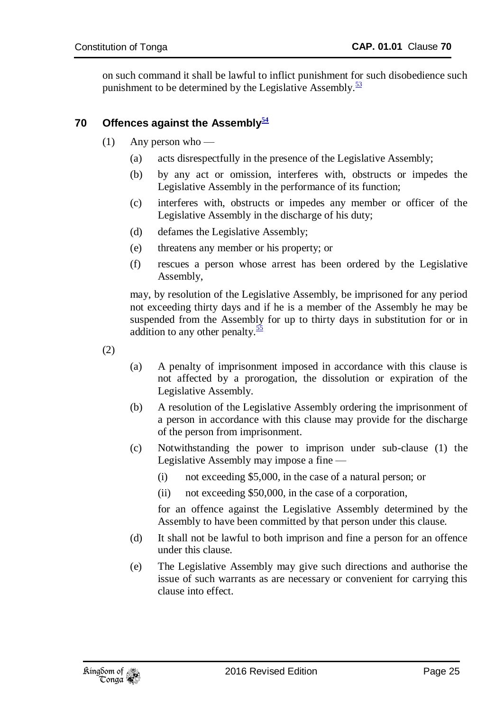<span id="page-24-2"></span><span id="page-24-1"></span>on such command it shall be lawful to inflict punishment for such disobedience such punishment to be determined by the Legislative Assembly. $\frac{53}{2}$  $\frac{53}{2}$  $\frac{53}{2}$ 

# <span id="page-24-0"></span>**70 Offences against the Assembly[54](#page-42-24)**

- (1) Any person who
	- (a) acts disrespectfully in the presence of the Legislative Assembly;
	- (b) by any act or omission, interferes with, obstructs or impedes the Legislative Assembly in the performance of its function;
	- (c) interferes with, obstructs or impedes any member or officer of the Legislative Assembly in the discharge of his duty;
	- (d) defames the Legislative Assembly;
	- (e) threatens any member or his property; or
	- (f) rescues a person whose arrest has been ordered by the Legislative Assembly,

may, by resolution of the Legislative Assembly, be imprisoned for any period not exceeding thirty days and if he is a member of the Assembly he may be suspended from the Assembly for up to thirty days in substitution for or in addition to any other penalty. $\frac{55}{2}$  $\frac{55}{2}$  $\frac{55}{2}$ 

(2)

- <span id="page-24-3"></span>(a) A penalty of imprisonment imposed in accordance with this clause is not affected by a prorogation, the dissolution or expiration of the Legislative Assembly.
- (b) A resolution of the Legislative Assembly ordering the imprisonment of a person in accordance with this clause may provide for the discharge of the person from imprisonment.
- (c) Notwithstanding the power to imprison under sub-clause (1) the Legislative Assembly may impose a fine —
	- (i) not exceeding \$5,000, in the case of a natural person; or
	- (ii) not exceeding \$50,000, in the case of a corporation,

for an offence against the Legislative Assembly determined by the Assembly to have been committed by that person under this clause.

- (d) It shall not be lawful to both imprison and fine a person for an offence under this clause.
- (e) The Legislative Assembly may give such directions and authorise the issue of such warrants as are necessary or convenient for carrying this clause into effect.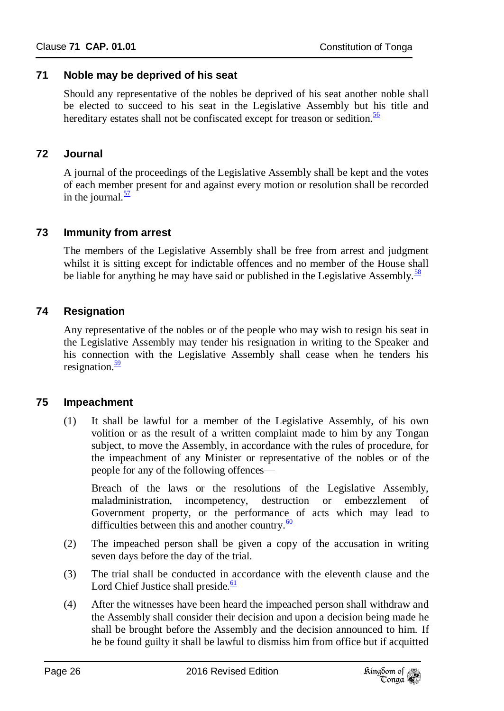#### <span id="page-25-0"></span>**71 Noble may be deprived of his seat**

<span id="page-25-5"></span>Should any representative of the nobles be deprived of his seat another noble shall be elected to succeed to his seat in the Legislative Assembly but his title and hereditary estates shall not be confiscated except for treason or sedition.<sup>[56](#page-42-26)</sup>

# <span id="page-25-1"></span>**72 Journal**

<span id="page-25-6"></span>A journal of the proceedings of the Legislative Assembly shall be kept and the votes of each member present for and against every motion or resolution shall be recorded in the journal. $\frac{57}{2}$  $\frac{57}{2}$  $\frac{57}{2}$ 

#### <span id="page-25-2"></span>**73 Immunity from arrest**

<span id="page-25-7"></span>The members of the Legislative Assembly shall be free from arrest and judgment whilst it is sitting except for indictable offences and no member of the House shall be liable for anything he may have said or published in the Legislative Assembly.<sup>[58](#page-42-28)</sup>

# <span id="page-25-3"></span>**74 Resignation**

<span id="page-25-8"></span>Any representative of the nobles or of the people who may wish to resign his seat in the Legislative Assembly may tender his resignation in writing to the Speaker and his connection with the Legislative Assembly shall cease when he tenders his resignation. $\frac{59}{2}$  $\frac{59}{2}$  $\frac{59}{2}$ 

# <span id="page-25-4"></span>**75 Impeachment**

(1) It shall be lawful for a member of the Legislative Assembly, of his own volition or as the result of a written complaint made to him by any Tongan subject, to move the Assembly, in accordance with the rules of procedure, for the impeachment of any Minister or representative of the nobles or of the people for any of the following offences—

Breach of the laws or the resolutions of the Legislative Assembly, maladministration, incompetency, destruction or embezzlement of Government property, or the performance of acts which may lead to difficulties between this and another country. $\frac{60}{60}$  $\frac{60}{60}$  $\frac{60}{60}$ 

- (2) The impeached person shall be given a copy of the accusation in writing seven days before the day of the trial.
- (3) The trial shall be conducted in accordance with the eleventh clause and the Lord Chief Justice shall preside.<sup>[61](#page-42-31)</sup>
- (4) After the witnesses have been heard the impeached person shall withdraw and the Assembly shall consider their decision and upon a decision being made he shall be brought before the Assembly and the decision announced to him. If he be found guilty it shall be lawful to dismiss him from office but if acquitted

<span id="page-25-10"></span><span id="page-25-9"></span>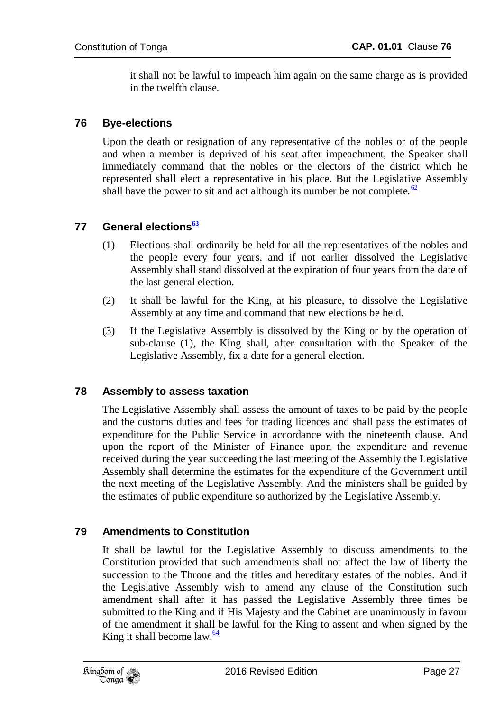<span id="page-26-4"></span>it shall not be lawful to impeach him again on the same charge as is provided in the twelfth clause.

# <span id="page-26-0"></span>**76 Bye-elections**

Upon the death or resignation of any representative of the nobles or of the people and when a member is deprived of his seat after impeachment, the Speaker shall immediately command that the nobles or the electors of the district which he represented shall elect a representative in his place. But the Legislative Assembly shall have the power to sit and act although its number be not complete.  $\frac{62}{5}$  $\frac{62}{5}$  $\frac{62}{5}$ 

# <span id="page-26-1"></span>**77 General elections[63](#page-43-1)**

- <span id="page-26-5"></span>(1) Elections shall ordinarily be held for all the representatives of the nobles and the people every four years, and if not earlier dissolved the Legislative Assembly shall stand dissolved at the expiration of four years from the date of the last general election.
- (2) It shall be lawful for the King, at his pleasure, to dissolve the Legislative Assembly at any time and command that new elections be held.
- (3) If the Legislative Assembly is dissolved by the King or by the operation of sub-clause (1), the King shall, after consultation with the Speaker of the Legislative Assembly, fix a date for a general election.

# <span id="page-26-2"></span>**78 Assembly to assess taxation**

The Legislative Assembly shall assess the amount of taxes to be paid by the people and the customs duties and fees for trading licences and shall pass the estimates of expenditure for the Public Service in accordance with the nineteenth clause. And upon the report of the Minister of Finance upon the expenditure and revenue received during the year succeeding the last meeting of the Assembly the Legislative Assembly shall determine the estimates for the expenditure of the Government until the next meeting of the Legislative Assembly. And the ministers shall be guided by the estimates of public expenditure so authorized by the Legislative Assembly.

# <span id="page-26-3"></span>**79 Amendments to Constitution**

<span id="page-26-6"></span>It shall be lawful for the Legislative Assembly to discuss amendments to the Constitution provided that such amendments shall not affect the law of liberty the succession to the Throne and the titles and hereditary estates of the nobles. And if the Legislative Assembly wish to amend any clause of the Constitution such amendment shall after it has passed the Legislative Assembly three times be submitted to the King and if His Majesty and the Cabinet are unanimously in favour of the amendment it shall be lawful for the King to assent and when signed by the King it shall become law.<sup>[64](#page-43-2)</sup>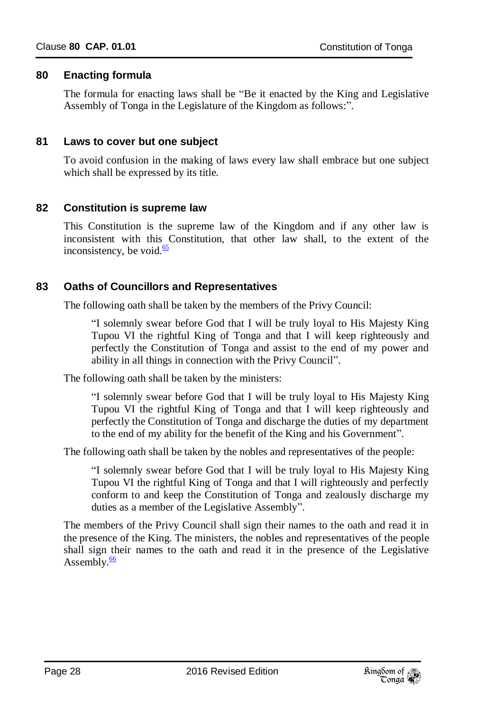#### <span id="page-27-0"></span>**80 Enacting formula**

The formula for enacting laws shall be "Be it enacted by the King and Legislative Assembly of Tonga in the Legislature of the Kingdom as follows:".

#### <span id="page-27-1"></span>**81 Laws to cover but one subject**

To avoid confusion in the making of laws every law shall embrace but one subject which shall be expressed by its title.

#### <span id="page-27-2"></span>**82 Constitution is supreme law**

<span id="page-27-4"></span>This Constitution is the supreme law of the Kingdom and if any other law is inconsistent with this Constitution, that other law shall, to the extent of the inconsistency, be void. $\frac{65}{6}$  $\frac{65}{6}$  $\frac{65}{6}$ 

# <span id="page-27-3"></span>**83 Oaths of Councillors and Representatives**

The following oath shall be taken by the members of the Privy Council:

"I solemnly swear before God that I will be truly loyal to His Majesty King Tupou VI the rightful King of Tonga and that I will keep righteously and perfectly the Constitution of Tonga and assist to the end of my power and ability in all things in connection with the Privy Council".

The following oath shall be taken by the ministers:

"I solemnly swear before God that I will be truly loyal to His Majesty King Tupou VI the rightful King of Tonga and that I will keep righteously and perfectly the Constitution of Tonga and discharge the duties of my department to the end of my ability for the benefit of the King and his Government".

The following oath shall be taken by the nobles and representatives of the people:

"I solemnly swear before God that I will be truly loyal to His Majesty King Tupou VI the rightful King of Tonga and that I will righteously and perfectly conform to and keep the Constitution of Tonga and zealously discharge my duties as a member of the Legislative Assembly".

<span id="page-27-5"></span>The members of the Privy Council shall sign their names to the oath and read it in the presence of the King. The ministers, the nobles and representatives of the people shall sign their names to the oath and read it in the presence of the Legislative Assembly. $\frac{66}{6}$  $\frac{66}{6}$  $\frac{66}{6}$ 

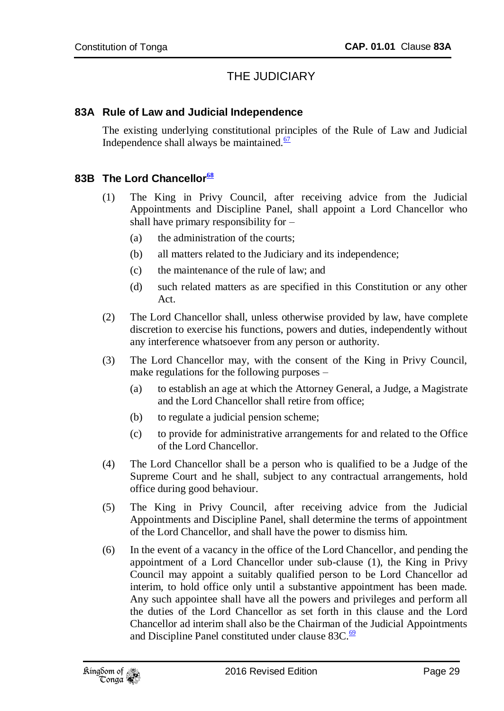# <span id="page-28-4"></span><span id="page-28-3"></span>THE JUDICIARY

#### <span id="page-28-1"></span><span id="page-28-0"></span>**83A Rule of Law and Judicial Independence**

The existing underlying constitutional principles of the Rule of Law and Judicial Independence shall always be maintained. $\frac{67}{2}$  $\frac{67}{2}$  $\frac{67}{2}$ 

### <span id="page-28-2"></span>**83B The Lord Chancellor[68](#page-43-6)**

- (1) The King in Privy Council, after receiving advice from the Judicial Appointments and Discipline Panel, shall appoint a Lord Chancellor who shall have primary responsibility for –
	- (a) the administration of the courts;
	- (b) all matters related to the Judiciary and its independence;
	- (c) the maintenance of the rule of law; and
	- (d) such related matters as are specified in this Constitution or any other Act.
- (2) The Lord Chancellor shall, unless otherwise provided by law, have complete discretion to exercise his functions, powers and duties, independently without any interference whatsoever from any person or authority.
- (3) The Lord Chancellor may, with the consent of the King in Privy Council, make regulations for the following purposes –
	- (a) to establish an age at which the Attorney General, a Judge, a Magistrate and the Lord Chancellor shall retire from office;
	- (b) to regulate a judicial pension scheme;
	- (c) to provide for administrative arrangements for and related to the Office of the Lord Chancellor.
- (4) The Lord Chancellor shall be a person who is qualified to be a Judge of the Supreme Court and he shall, subject to any contractual arrangements, hold office during good behaviour.
- (5) The King in Privy Council, after receiving advice from the Judicial Appointments and Discipline Panel, shall determine the terms of appointment of the Lord Chancellor, and shall have the power to dismiss him.
- <span id="page-28-5"></span>(6) In the event of a vacancy in the office of the Lord Chancellor, and pending the appointment of a Lord Chancellor under sub-clause (1), the King in Privy Council may appoint a suitably qualified person to be Lord Chancellor ad interim, to hold office only until a substantive appointment has been made. Any such appointee shall have all the powers and privileges and perform all the duties of the Lord Chancellor as set forth in this clause and the Lord Chancellor ad interim shall also be the Chairman of the Judicial Appointments and Discipline Panel constituted under clause  $83C \cdot$ <sup>[69](#page-43-7)</sup>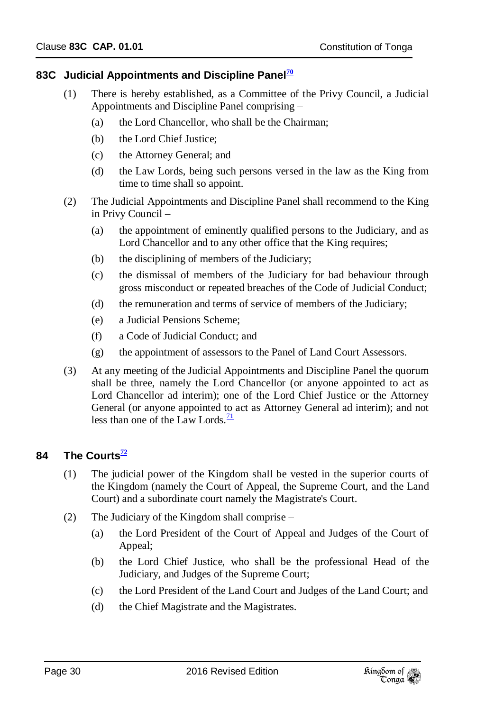### <span id="page-29-0"></span>**83C Judicial Appointments and Discipline Panel[70](#page-43-8)**

- <span id="page-29-2"></span>(1) There is hereby established, as a Committee of the Privy Council, a Judicial Appointments and Discipline Panel comprising –
	- (a) the Lord Chancellor, who shall be the Chairman;
	- (b) the Lord Chief Justice;
	- (c) the Attorney General; and
	- (d) the Law Lords, being such persons versed in the law as the King from time to time shall so appoint.
- (2) The Judicial Appointments and Discipline Panel shall recommend to the King in Privy Council –
	- (a) the appointment of eminently qualified persons to the Judiciary, and as Lord Chancellor and to any other office that the King requires;
	- (b) the disciplining of members of the Judiciary;
	- (c) the dismissal of members of the Judiciary for bad behaviour through gross misconduct or repeated breaches of the Code of Judicial Conduct;
	- (d) the remuneration and terms of service of members of the Judiciary;
	- (e) a Judicial Pensions Scheme;
	- (f) a Code of Judicial Conduct; and
	- (g) the appointment of assessors to the Panel of Land Court Assessors.
- <span id="page-29-3"></span>(3) At any meeting of the Judicial Appointments and Discipline Panel the quorum shall be three, namely the Lord Chancellor (or anyone appointed to act as Lord Chancellor ad interim); one of the Lord Chief Justice or the Attorney General (or anyone appointed to act as Attorney General ad interim); and not less than one of the Law Lords. $\frac{71}{2}$  $\frac{71}{2}$  $\frac{71}{2}$

# <span id="page-29-1"></span>**84 The Courts[72](#page-43-10)**

- <span id="page-29-4"></span>(1) The judicial power of the Kingdom shall be vested in the superior courts of the Kingdom (namely the Court of Appeal, the Supreme Court, and the Land Court) and a subordinate court namely the Magistrate's Court.
- (2) The Judiciary of the Kingdom shall comprise
	- (a) the Lord President of the Court of Appeal and Judges of the Court of Appeal;
	- (b) the Lord Chief Justice, who shall be the professional Head of the Judiciary, and Judges of the Supreme Court;
	- (c) the Lord President of the Land Court and Judges of the Land Court; and
	- (d) the Chief Magistrate and the Magistrates.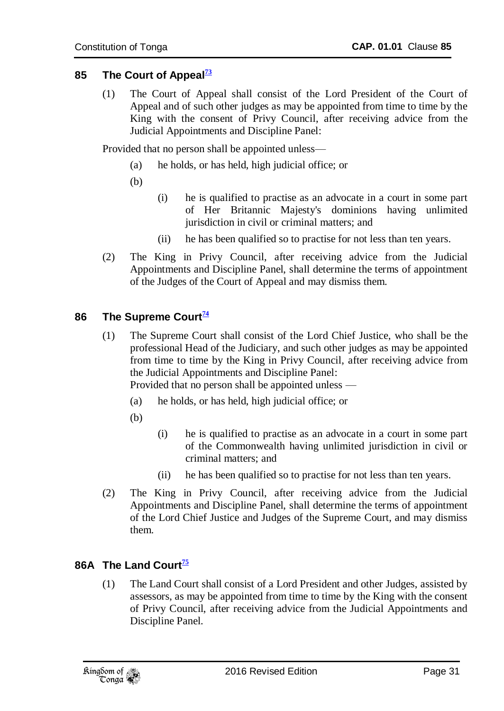### <span id="page-30-0"></span>**85 The Court of Appeal[73](#page-43-11)**

<span id="page-30-3"></span>(1) The Court of Appeal shall consist of the Lord President of the Court of Appeal and of such other judges as may be appointed from time to time by the King with the consent of Privy Council, after receiving advice from the Judicial Appointments and Discipline Panel:

Provided that no person shall be appointed unless—

- (a) he holds, or has held, high judicial office; or
- (b)
- (i) he is qualified to practise as an advocate in a court in some part of Her Britannic Majesty's dominions having unlimited jurisdiction in civil or criminal matters; and
- <span id="page-30-4"></span>(ii) he has been qualified so to practise for not less than ten years.
- (2) The King in Privy Council, after receiving advice from the Judicial Appointments and Discipline Panel, shall determine the terms of appointment of the Judges of the Court of Appeal and may dismiss them.

#### <span id="page-30-1"></span>**86 The Supreme Court[74](#page-43-12)**

(1) The Supreme Court shall consist of the Lord Chief Justice, who shall be the professional Head of the Judiciary, and such other judges as may be appointed from time to time by the King in Privy Council, after receiving advice from the Judicial Appointments and Discipline Panel:

Provided that no person shall be appointed unless —

- (a) he holds, or has held, high judicial office; or
- (b)
- (i) he is qualified to practise as an advocate in a court in some part of the Commonwealth having unlimited jurisdiction in civil or criminal matters; and
- <span id="page-30-5"></span>(ii) he has been qualified so to practise for not less than ten years.
- (2) The King in Privy Council, after receiving advice from the Judicial Appointments and Discipline Panel, shall determine the terms of appointment of the Lord Chief Justice and Judges of the Supreme Court, and may dismiss them.

# <span id="page-30-2"></span>**86A The Land Court[75](#page-43-13)**

(1) The Land Court shall consist of a Lord President and other Judges, assisted by assessors, as may be appointed from time to time by the King with the consent of Privy Council, after receiving advice from the Judicial Appointments and Discipline Panel.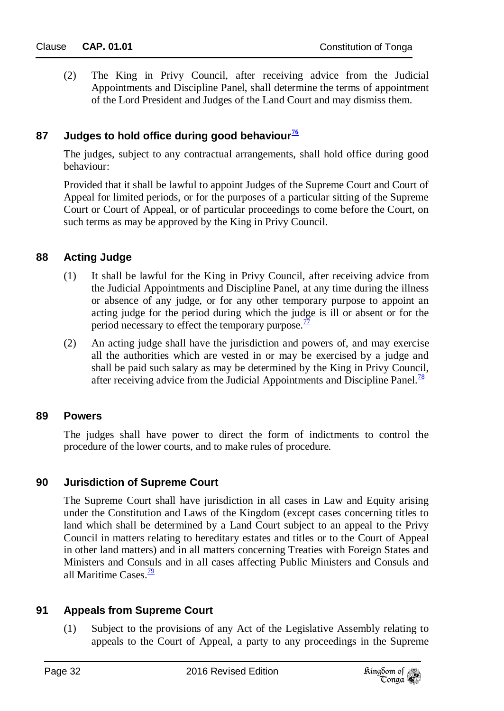(2) The King in Privy Council, after receiving advice from the Judicial Appointments and Discipline Panel, shall determine the terms of appointment of the Lord President and Judges of the Land Court and may dismiss them.

# <span id="page-31-0"></span>**87 Judges to hold office during good behaviour[76](#page-43-14)**

<span id="page-31-5"></span>The judges, subject to any contractual arrangements, shall hold office during good behaviour:

Provided that it shall be lawful to appoint Judges of the Supreme Court and Court of Appeal for limited periods, or for the purposes of a particular sitting of the Supreme Court or Court of Appeal, or of particular proceedings to come before the Court, on such terms as may be approved by the King in Privy Council.

# <span id="page-31-1"></span>**88 Acting Judge**

- (1) It shall be lawful for the King in Privy Council, after receiving advice from the Judicial Appointments and Discipline Panel, at any time during the illness or absence of any judge, or for any other temporary purpose to appoint an acting judge for the period during which the judge is ill or absent or for the period necessary to effect the temporary purpose. $\frac{77}{6}$  $\frac{77}{6}$  $\frac{77}{6}$
- <span id="page-31-7"></span><span id="page-31-6"></span>(2) An acting judge shall have the jurisdiction and powers of, and may exercise all the authorities which are vested in or may be exercised by a judge and shall be paid such salary as may be determined by the King in Privy Council, after receiving advice from the Judicial Appointments and Discipline Panel.<sup>[78](#page-43-16)</sup>

#### <span id="page-31-2"></span>**89 Powers**

The judges shall have power to direct the form of indictments to control the procedure of the lower courts, and to make rules of procedure.

#### <span id="page-31-3"></span>**90 Jurisdiction of Supreme Court**

The Supreme Court shall have jurisdiction in all cases in Law and Equity arising under the Constitution and Laws of the Kingdom (except cases concerning titles to land which shall be determined by a Land Court subject to an appeal to the Privy Council in matters relating to hereditary estates and titles or to the Court of Appeal in other land matters) and in all matters concerning Treaties with Foreign States and Ministers and Consuls and in all cases affecting Public Ministers and Consuls and all Maritime Cases.<sup>[79](#page-43-17)</sup>

# <span id="page-31-4"></span>**91 Appeals from Supreme Court**

<span id="page-31-8"></span>(1) Subject to the provisions of any Act of the Legislative Assembly relating to appeals to the Court of Appeal, a party to any proceedings in the Supreme

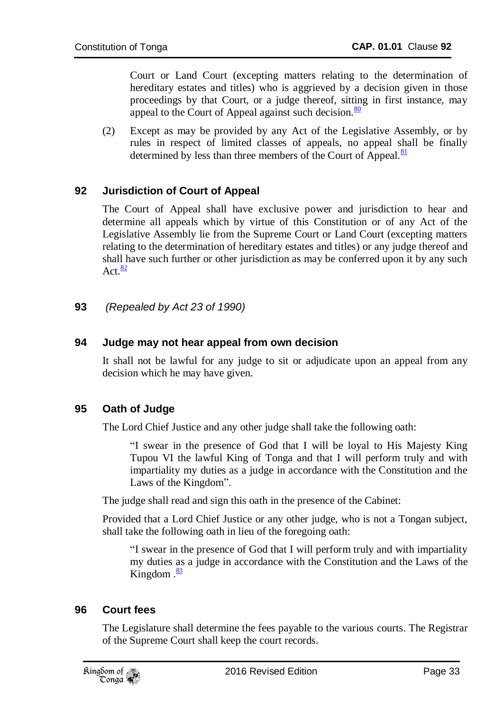<span id="page-32-6"></span><span id="page-32-5"></span>Court or Land Court (excepting matters relating to the determination of hereditary estates and titles) who is aggrieved by a decision given in those proceedings by that Court, or a judge thereof, sitting in first instance, may appeal to the Court of Appeal against such decision. $\frac{80}{20}$  $\frac{80}{20}$  $\frac{80}{20}$ 

(2) Except as may be provided by any Act of the Legislative Assembly, or by rules in respect of limited classes of appeals, no appeal shall be finally determined by less than three members of the Court of Appeal. $\frac{81}{2}$  $\frac{81}{2}$  $\frac{81}{2}$ 

# <span id="page-32-0"></span>**92 Jurisdiction of Court of Appeal**

The Court of Appeal shall have exclusive power and jurisdiction to hear and determine all appeals which by virtue of this Constitution or of any Act of the Legislative Assembly lie from the Supreme Court or Land Court (excepting matters relating to the determination of hereditary estates and titles) or any judge thereof and shall have such further or other jurisdiction as may be conferred upon it by any such Act $\frac{82}{2}$  $\frac{82}{2}$  $\frac{82}{2}$ 

<span id="page-32-7"></span><span id="page-32-2"></span><span id="page-32-1"></span>**93** *(Repealed by Act 23 of 1990)*

#### **94 Judge may not hear appeal from own decision**

It shall not be lawful for any judge to sit or adjudicate upon an appeal from any decision which he may have given.

# <span id="page-32-3"></span>**95 Oath of Judge**

The Lord Chief Justice and any other judge shall take the following oath:

"I swear in the presence of God that I will be loyal to His Majesty King Tupou VI the lawful King of Tonga and that I will perform truly and with impartiality my duties as a judge in accordance with the Constitution and the Laws of the Kingdom".

The judge shall read and sign this oath in the presence of the Cabinet:

Provided that a Lord Chief Justice or any other judge, who is not a Tongan subject, shall take the following oath in lieu of the foregoing oath:

<span id="page-32-8"></span>"I swear in the presence of God that I will perform truly and with impartiality my duties as a judge in accordance with the Constitution and the Laws of the Kingdom  $\frac{83}{5}$  $\frac{83}{5}$  $\frac{83}{5}$ 

# <span id="page-32-4"></span>**96 Court fees**

The Legislature shall determine the fees payable to the various courts. The Registrar of the Supreme Court shall keep the court records.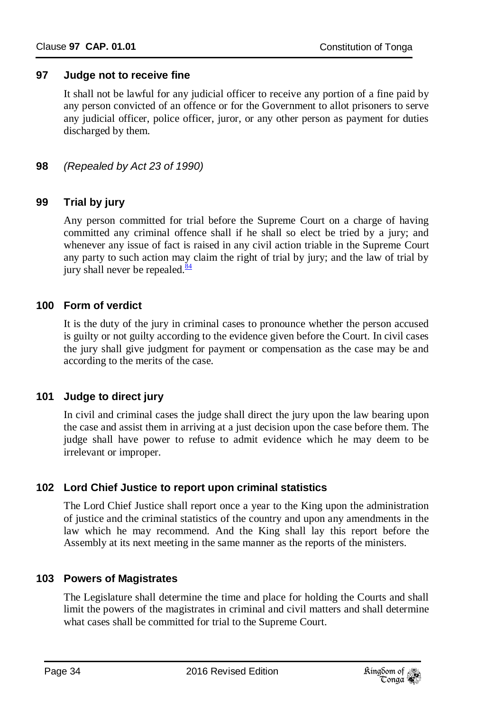#### <span id="page-33-0"></span>**97 Judge not to receive fine**

It shall not be lawful for any judicial officer to receive any portion of a fine paid by any person convicted of an offence or for the Government to allot prisoners to serve any judicial officer, police officer, juror, or any other person as payment for duties discharged by them.

<span id="page-33-2"></span><span id="page-33-1"></span>**98** *(Repealed by Act 23 of 1990)*

#### **99 Trial by jury**

<span id="page-33-7"></span>Any person committed for trial before the Supreme Court on a charge of having committed any criminal offence shall if he shall so elect be tried by a jury; and whenever any issue of fact is raised in any civil action triable in the Supreme Court any party to such action may claim the right of trial by jury; and the law of trial by jury shall never be repealed. [84](#page-43-22)

#### <span id="page-33-3"></span>**100 Form of verdict**

It is the duty of the jury in criminal cases to pronounce whether the person accused is guilty or not guilty according to the evidence given before the Court. In civil cases the jury shall give judgment for payment or compensation as the case may be and according to the merits of the case.

#### <span id="page-33-4"></span>**101 Judge to direct jury**

In civil and criminal cases the judge shall direct the jury upon the law bearing upon the case and assist them in arriving at a just decision upon the case before them. The judge shall have power to refuse to admit evidence which he may deem to be irrelevant or improper.

# <span id="page-33-5"></span>**102 Lord Chief Justice to report upon criminal statistics**

The Lord Chief Justice shall report once a year to the King upon the administration of justice and the criminal statistics of the country and upon any amendments in the law which he may recommend. And the King shall lay this report before the Assembly at its next meeting in the same manner as the reports of the ministers.

### <span id="page-33-6"></span>**103 Powers of Magistrates**

The Legislature shall determine the time and place for holding the Courts and shall limit the powers of the magistrates in criminal and civil matters and shall determine what cases shall be committed for trial to the Supreme Court.

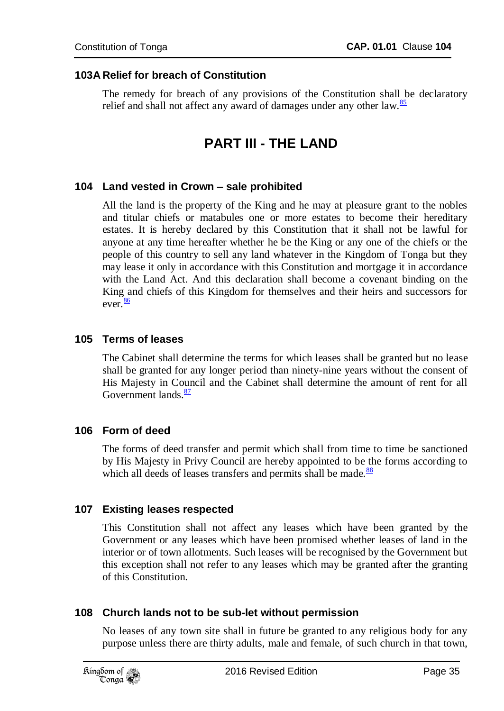#### <span id="page-34-0"></span>**103A Relief for breach of Constitution**

<span id="page-34-1"></span>The remedy for breach of any provisions of the Constitution shall be declaratory relief and shall not affect any award of damages under any other  $law$ .<sup>[85](#page-43-23)</sup>

# <span id="page-34-7"></span>**PART III - THE LAND**

#### <span id="page-34-2"></span>**104 Land vested in Crown – sale prohibited**

All the land is the property of the King and he may at pleasure grant to the nobles and titular chiefs or matabules one or more estates to become their hereditary estates. It is hereby declared by this Constitution that it shall not be lawful for anyone at any time hereafter whether he be the King or any one of the chiefs or the people of this country to sell any land whatever in the Kingdom of Tonga but they may lease it only in accordance with this Constitution and mortgage it in accordance with the Land Act. And this declaration shall become a covenant binding on the King and chiefs of this Kingdom for themselves and their heirs and successors for ever*.* [86](#page-43-24)

#### <span id="page-34-3"></span>**105 Terms of leases**

<span id="page-34-9"></span><span id="page-34-8"></span>The Cabinet shall determine the terms for which leases shall be granted but no lease shall be granted for any longer period than ninety-nine years without the consent of His Majesty in Council and the Cabinet shall determine the amount of rent for all Government lands.<sup>[87](#page-43-25)</sup>

#### <span id="page-34-4"></span>**106 Form of deed**

<span id="page-34-10"></span>The forms of deed transfer and permit which shall from time to time be sanctioned by His Majesty in Privy Council are hereby appointed to be the forms according to which all deeds of leases transfers and permits shall be made.<sup>[88](#page-43-26)</sup>

#### <span id="page-34-5"></span>**107 Existing leases respected**

This Constitution shall not affect any leases which have been granted by the Government or any leases which have been promised whether leases of land in the interior or of town allotments. Such leases will be recognised by the Government but this exception shall not refer to any leases which may be granted after the granting of this Constitution.

#### <span id="page-34-6"></span>**108 Church lands not to be sub-let without permission**

No leases of any town site shall in future be granted to any religious body for any purpose unless there are thirty adults, male and female, of such church in that town,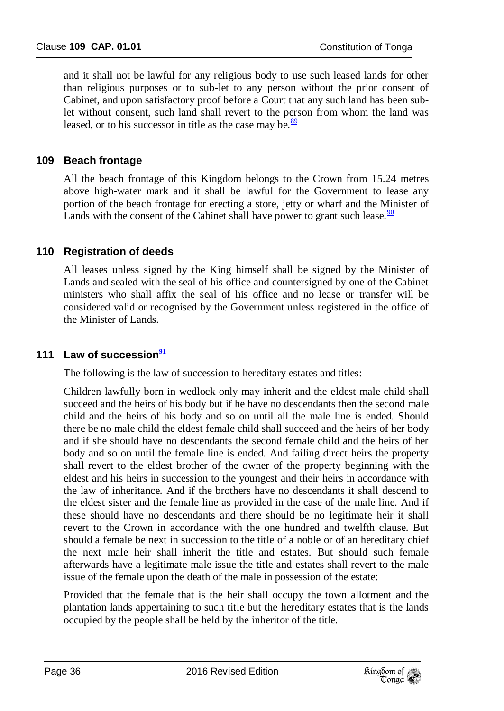<span id="page-35-3"></span>and it shall not be lawful for any religious body to use such leased lands for other than religious purposes or to sub-let to any person without the prior consent of Cabinet, and upon satisfactory proof before a Court that any such land has been sublet without consent, such land shall revert to the person from whom the land was leased, or to his successor in title as the case may be.  $\frac{89}{2}$  $\frac{89}{2}$  $\frac{89}{2}$ 

#### <span id="page-35-0"></span>**109 Beach frontage**

<span id="page-35-4"></span>All the beach frontage of this Kingdom belongs to the Crown from 15.24 metres above high-water mark and it shall be lawful for the Government to lease any portion of the beach frontage for erecting a store, jetty or wharf and the Minister of Lands with the consent of the Cabinet shall have power to grant such lease.  $\frac{90}{20}$  $\frac{90}{20}$  $\frac{90}{20}$ 

#### <span id="page-35-1"></span>**110 Registration of deeds**

All leases unless signed by the King himself shall be signed by the Minister of Lands and sealed with the seal of his office and countersigned by one of the Cabinet ministers who shall affix the seal of his office and no lease or transfer will be considered valid or recognised by the Government unless registered in the office of the Minister of Lands.

#### <span id="page-35-2"></span>**111 Law of succession[91](#page-43-29)**

<span id="page-35-5"></span>The following is the law of succession to hereditary estates and titles:

Children lawfully born in wedlock only may inherit and the eldest male child shall succeed and the heirs of his body but if he have no descendants then the second male child and the heirs of his body and so on until all the male line is ended. Should there be no male child the eldest female child shall succeed and the heirs of her body and if she should have no descendants the second female child and the heirs of her body and so on until the female line is ended. And failing direct heirs the property shall revert to the eldest brother of the owner of the property beginning with the eldest and his heirs in succession to the youngest and their heirs in accordance with the law of inheritance. And if the brothers have no descendants it shall descend to the eldest sister and the female line as provided in the case of the male line. And if these should have no descendants and there should be no legitimate heir it shall revert to the Crown in accordance with the one hundred and twelfth clause. But should a female be next in succession to the title of a noble or of an hereditary chief the next male heir shall inherit the title and estates. But should such female afterwards have a legitimate male issue the title and estates shall revert to the male issue of the female upon the death of the male in possession of the estate:

Provided that the female that is the heir shall occupy the town allotment and the plantation lands appertaining to such title but the hereditary estates that is the lands occupied by the people shall be held by the inheritor of the title.

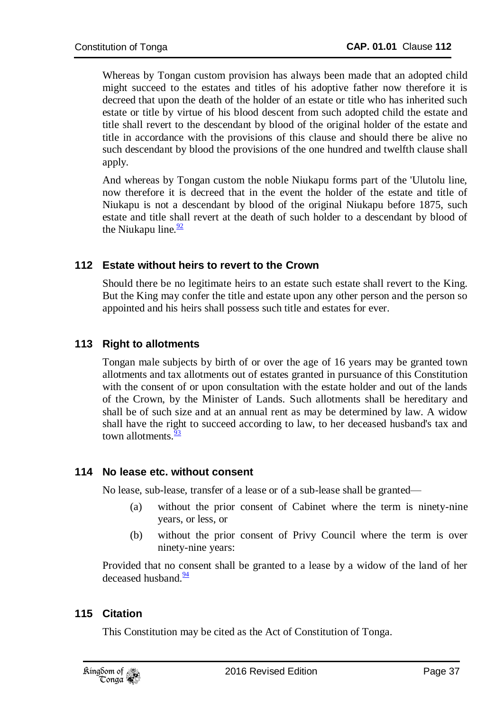Whereas by Tongan custom provision has always been made that an adopted child might succeed to the estates and titles of his adoptive father now therefore it is decreed that upon the death of the holder of an estate or title who has inherited such estate or title by virtue of his blood descent from such adopted child the estate and title shall revert to the descendant by blood of the original holder of the estate and title in accordance with the provisions of this clause and should there be alive no such descendant by blood the provisions of the one hundred and twelfth clause shall apply*.*

<span id="page-36-4"></span>And whereas by Tongan custom the noble Niukapu forms part of the 'Ulutolu line, now therefore it is decreed that in the event the holder of the estate and title of Niukapu is not a descendant by blood of the original Niukapu before 1875, such estate and title shall revert at the death of such holder to a descendant by blood of the Niukapu line. $\frac{92}{2}$  $\frac{92}{2}$  $\frac{92}{2}$ 

#### <span id="page-36-0"></span>**112 Estate without heirs to revert to the Crown**

Should there be no legitimate heirs to an estate such estate shall revert to the King. But the King may confer the title and estate upon any other person and the person so appointed and his heirs shall possess such title and estates for ever.

#### <span id="page-36-1"></span>**113 Right to allotments**

Tongan male subjects by birth of or over the age of 16 years may be granted town allotments and tax allotments out of estates granted in pursuance of this Constitution with the consent of or upon consultation with the estate holder and out of the lands of the Crown, by the Minister of Lands. Such allotments shall be hereditary and shall be of such size and at an annual rent as may be determined by law. A widow shall have the right to succeed according to law, to her deceased husband's tax and town allotments. $\frac{93}{93}$  $\frac{93}{93}$  $\frac{93}{93}$ 

#### <span id="page-36-2"></span>**114 No lease etc. without consent**

No lease, sub-lease, transfer of a lease or of a sub-lease shall be granted—

- <span id="page-36-5"></span>(a) without the prior consent of Cabinet where the term is ninety-nine years, or less, or
- <span id="page-36-6"></span>(b) without the prior consent of Privy Council where the term is over ninety-nine years:

Provided that no consent shall be granted to a lease by a widow of the land of her deceased husband. $\frac{94}{3}$  $\frac{94}{3}$  $\frac{94}{3}$ 

#### <span id="page-36-3"></span>**115 Citation**

This Constitution may be cited as the Act of Constitution of Tonga.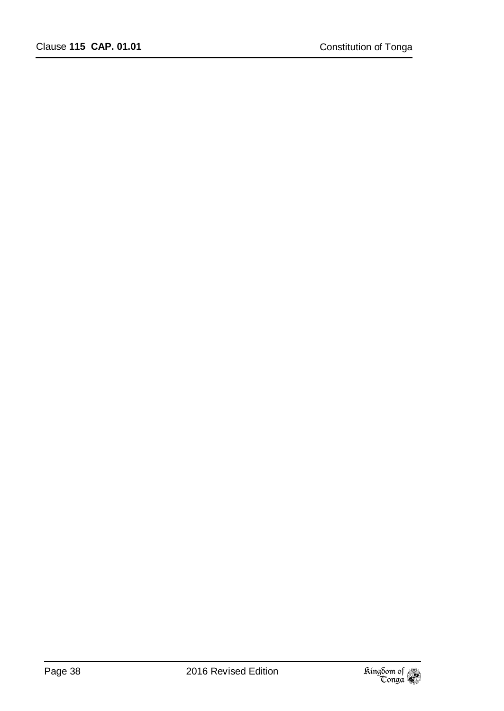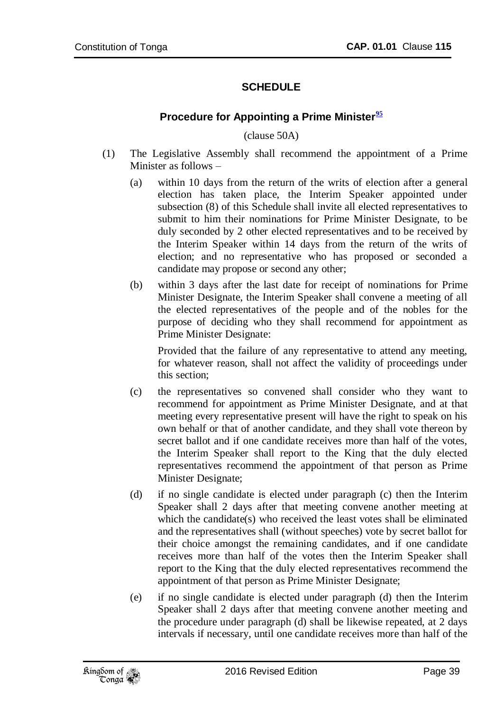# <span id="page-38-2"></span>**SCHEDULE**

### **Procedure for Appointing a Prime Minister[95](#page-43-33)**

(clause 50A)

- <span id="page-38-1"></span><span id="page-38-0"></span>(1) The Legislative Assembly shall recommend the appointment of a Prime Minister as follows –
	- (a) within 10 days from the return of the writs of election after a general election has taken place, the Interim Speaker appointed under subsection (8) of this Schedule shall invite all elected representatives to submit to him their nominations for Prime Minister Designate, to be duly seconded by 2 other elected representatives and to be received by the Interim Speaker within 14 days from the return of the writs of election; and no representative who has proposed or seconded a candidate may propose or second any other;
	- (b) within 3 days after the last date for receipt of nominations for Prime Minister Designate, the Interim Speaker shall convene a meeting of all the elected representatives of the people and of the nobles for the purpose of deciding who they shall recommend for appointment as Prime Minister Designate:

Provided that the failure of any representative to attend any meeting, for whatever reason, shall not affect the validity of proceedings under this section;

- (c) the representatives so convened shall consider who they want to recommend for appointment as Prime Minister Designate, and at that meeting every representative present will have the right to speak on his own behalf or that of another candidate, and they shall vote thereon by secret ballot and if one candidate receives more than half of the votes, the Interim Speaker shall report to the King that the duly elected representatives recommend the appointment of that person as Prime Minister Designate;
- (d) if no single candidate is elected under paragraph (c) then the Interim Speaker shall 2 days after that meeting convene another meeting at which the candidate(s) who received the least votes shall be eliminated and the representatives shall (without speeches) vote by secret ballot for their choice amongst the remaining candidates, and if one candidate receives more than half of the votes then the Interim Speaker shall report to the King that the duly elected representatives recommend the appointment of that person as Prime Minister Designate;
- (e) if no single candidate is elected under paragraph (d) then the Interim Speaker shall 2 days after that meeting convene another meeting and the procedure under paragraph (d) shall be likewise repeated, at 2 days intervals if necessary, until one candidate receives more than half of the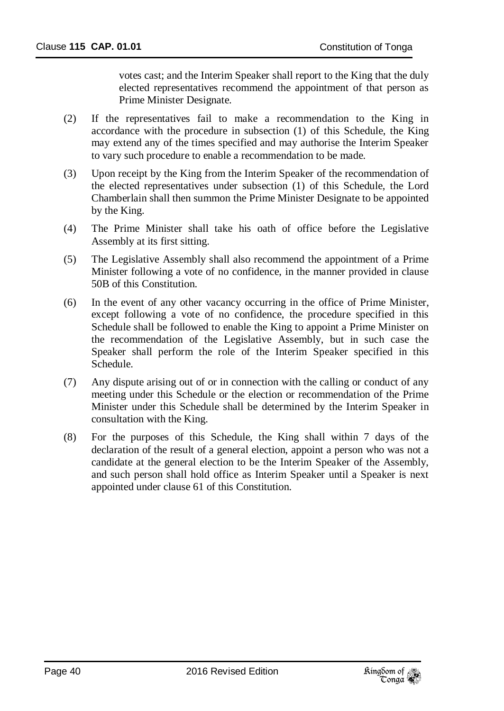votes cast; and the Interim Speaker shall report to the King that the duly elected representatives recommend the appointment of that person as Prime Minister Designate.

- (2) If the representatives fail to make a recommendation to the King in accordance with the procedure in subsection (1) of this Schedule, the King may extend any of the times specified and may authorise the Interim Speaker to vary such procedure to enable a recommendation to be made.
- (3) Upon receipt by the King from the Interim Speaker of the recommendation of the elected representatives under subsection (1) of this Schedule, the Lord Chamberlain shall then summon the Prime Minister Designate to be appointed by the King.
- (4) The Prime Minister shall take his oath of office before the Legislative Assembly at its first sitting.
- (5) The Legislative Assembly shall also recommend the appointment of a Prime Minister following a vote of no confidence, in the manner provided in clause 50B of this Constitution.
- (6) In the event of any other vacancy occurring in the office of Prime Minister, except following a vote of no confidence, the procedure specified in this Schedule shall be followed to enable the King to appoint a Prime Minister on the recommendation of the Legislative Assembly, but in such case the Speaker shall perform the role of the Interim Speaker specified in this Schedule.
- (7) Any dispute arising out of or in connection with the calling or conduct of any meeting under this Schedule or the election or recommendation of the Prime Minister under this Schedule shall be determined by the Interim Speaker in consultation with the King.
- (8) For the purposes of this Schedule, the King shall within 7 days of the declaration of the result of a general election, appoint a person who was not a candidate at the general election to be the Interim Speaker of the Assembly, and such person shall hold office as Interim Speaker until a Speaker is next appointed under clause 61 of this Constitution.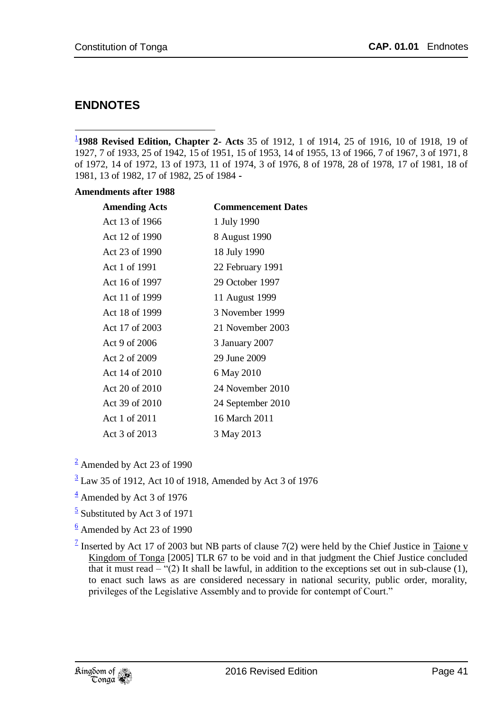# <span id="page-40-0"></span>**ENDNOTES**

 $\overline{a}$ 

<span id="page-40-1"></span>[1](#page-6-4) **1988 Revised Edition, Chapter 2- Acts** 35 of 1912, 1 of 1914, 25 of 1916, 10 of 1918, 19 of 1927, 7 of 1933, 25 of 1942, 15 of 1951, 15 of 1953, 14 of 1955, 13 of 1966, 7 of 1967, 3 of 1971, 8 of 1972, 14 of 1972, 13 of 1973, 11 of 1974, 3 of 1976, 8 of 1978, 28 of 1978, 17 of 1981, 18 of 1981, 13 of 1982, 17 of 1982, 25 of 1984 **-**

#### **Amendments after 1988**

| <b>Amending Acts</b> | <b>Commencement Dates</b> |
|----------------------|---------------------------|
| Act 13 of 1966       | 1 July 1990               |
| Act 12 of 1990       | 8 August 1990             |
| Act 23 of 1990       | 18 July 1990              |
| Act 1 of 1991        | 22 February 1991          |
| Act 16 of 1997       | 29 October 1997           |
| Act 11 of 1999       | 11 August 1999            |
| Act 18 of 1999       | 3 November 1999           |
| Act 17 of 2003       | 21 November 2003          |
| Act 9 of 2006        | 3 January 2007            |
| Act 2 of 2009        | 29 June 2009              |
| Act 14 of 2010       | 6 May 2010                |
| Act 20 of 2010       | 24 November 2010          |
| Act 39 of 2010       | 24 September 2010         |
| Act 1 of 2011        | 16 March 2011             |
| Act 3 of 2013        | 3 May 2013                |

- <span id="page-40-2"></span> $\frac{2}{3}$  $\frac{2}{3}$  $\frac{2}{3}$  Amended by Act 23 of 1990
- <span id="page-40-3"></span> $\frac{3}{2}$  $\frac{3}{2}$  $\frac{3}{2}$  Law 35 of 1912, Act 10 of 1918, Amended by Act 3 of 1976
- <span id="page-40-4"></span> $\frac{4}{5}$  $\frac{4}{5}$  $\frac{4}{5}$  Amended by Act 3 of 1976
- <span id="page-40-5"></span> $\frac{5}{5}$  $\frac{5}{5}$  $\frac{5}{5}$  Substituted by Act 3 of 1971
- <span id="page-40-6"></span> $6$  Amended by Act 23 of 1990
- <span id="page-40-7"></span><sup>[7](#page-7-8)</sup> Inserted by Act 17 of 2003 but NB parts of clause 7(2) were held by the Chief Justice in Taione v Kingdom of Tonga [2005] TLR 67 to be void and in that judgment the Chief Justice concluded that it must  $\overline{\text{read}} - \sqrt{\text{e}(2)}$  It shall be lawful, in addition to the exceptions set out in sub-clause (1), to enact such laws as are considered necessary in national security, public order, morality, privileges of the Legislative Assembly and to provide for contempt of Court."

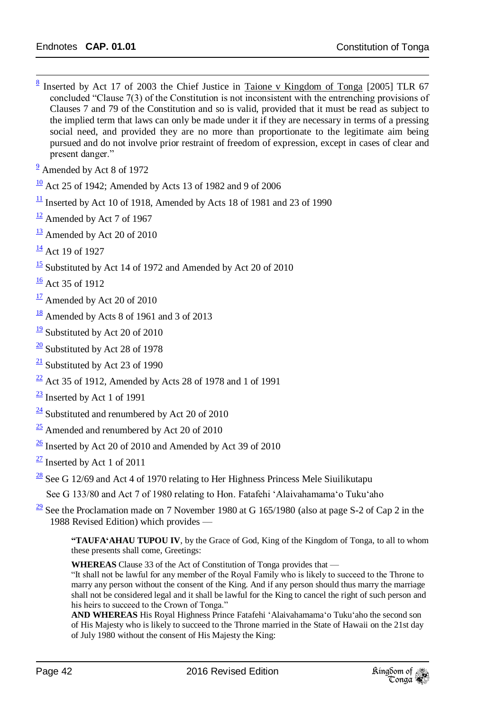<span id="page-41-0"></span> $\frac{8}{3}$  $\frac{8}{3}$  $\frac{8}{3}$  Inserted by Act 17 of 2003 the Chief Justice in Taione v Kingdom of Tonga [2005] TLR 67 concluded "Clause 7(3) of the Constitution is not inconsistent with the entrenching provisions of Clauses 7 and 79 of the Constitution and so is valid, provided that it must be read as subject to the implied term that laws can only be made under it if they are necessary in terms of a pressing social need, and provided they are no more than proportionate to the legitimate aim being pursued and do not involve prior restraint of freedom of expression, except in cases of clear and present danger."

<span id="page-41-1"></span> $9$ <sup>2</sup> Amended by Act 8 of 1972

- <span id="page-41-2"></span> $\frac{10}{2}$  $\frac{10}{2}$  $\frac{10}{2}$  Act 25 of 1942; Amended by Acts 13 of 1982 and 9 of 2006
- <span id="page-41-3"></span> $\frac{11}{2}$  $\frac{11}{2}$  $\frac{11}{2}$  Inserted by Act 10 of 1918, Amended by Acts 18 of 1981 and 23 of 1990
- <span id="page-41-4"></span> $12$  Amended by Act 7 of 1967
- <span id="page-41-5"></span> $\frac{13}{2}$  $\frac{13}{2}$  $\frac{13}{2}$  Amended by Act 20 of 2010
- <span id="page-41-6"></span> $\frac{14}{19}$  $\frac{14}{19}$  $\frac{14}{19}$  Act 19 of 1927
- <span id="page-41-7"></span> $\frac{15}{2}$  $\frac{15}{2}$  $\frac{15}{2}$  Substituted by Act 14 of 1972 and Amended by Act 20 of 2010
- <span id="page-41-8"></span> $\frac{16}{6}$  $\frac{16}{6}$  $\frac{16}{6}$  Act 35 of 1912
- <span id="page-41-9"></span> $\frac{17}{2}$  $\frac{17}{2}$  $\frac{17}{2}$  Amended by Act 20 of 2010
- <span id="page-41-10"></span> $\frac{18}{3}$  $\frac{18}{3}$  $\frac{18}{3}$  Amended by Acts 8 of 1961 and 3 of 2013
- <span id="page-41-11"></span> $\frac{19}{2}$  $\frac{19}{2}$  $\frac{19}{2}$  Substituted by Act 20 of 2010
- <span id="page-41-12"></span> $\frac{20}{20}$  $\frac{20}{20}$  $\frac{20}{20}$  Substituted by Act 28 of 1978
- <span id="page-41-13"></span> $\frac{21}{1}$  $\frac{21}{1}$  $\frac{21}{1}$  Substituted by Act 23 of 1990
- <span id="page-41-14"></span> $\frac{22}{2}$  $\frac{22}{2}$  $\frac{22}{2}$  Act 35 of 1912, Amended by Acts 28 of 1978 and 1 of 1991
- <span id="page-41-15"></span> $\frac{23}{21}$  $\frac{23}{21}$  $\frac{23}{21}$  Inserted by Act 1 of 1991
- <span id="page-41-16"></span> $\frac{24}{1}$  $\frac{24}{1}$  $\frac{24}{1}$  Substituted and renumbered by Act 20 of 2010
- <span id="page-41-17"></span> $\frac{25}{25}$  $\frac{25}{25}$  $\frac{25}{25}$  Amended and renumbered by Act 20 of 2010
- <span id="page-41-18"></span> $\frac{26}{10}$  $\frac{26}{10}$  $\frac{26}{10}$  Inserted by Act 20 of 2010 and Amended by Act 39 of 2010
- <span id="page-41-19"></span> $\frac{27}{21}$  $\frac{27}{21}$  $\frac{27}{21}$  Inserted by Act 1 of 2011
- <span id="page-41-20"></span> $\frac{28}{12}$  $\frac{28}{12}$  $\frac{28}{12}$  See G 12/69 and Act 4 of 1970 relating to Her Highness Princess Mele Siuilikutapu

See G 133/80 and Act 7 of 1980 relating to Hon. Fatafehi 'Alaivahamama'o Tuku'aho

<span id="page-41-21"></span> $\frac{29}{29}$  $\frac{29}{29}$  $\frac{29}{29}$  See the Proclamation made on 7 November 1980 at G 165/1980 (also at page S-2 of Cap 2 in the 1988 Revised Edition) which provides —

**"TAUFA'AHAU TUPOU IV**, by the Grace of God, King of the Kingdom of Tonga, to all to whom these presents shall come, Greetings:

**WHEREAS** Clause 33 of the Act of Constitution of Tonga provides that —

"It shall not be lawful for any member of the Royal Family who is likely to succeed to the Throne to marry any person without the consent of the King. And if any person should thus marry the marriage shall not be considered legal and it shall be lawful for the King to cancel the right of such person and his heirs to succeed to the Crown of Tonga."

**AND WHEREAS** His Royal Highness Prince Fatafehi 'Alaivahamama'o Tuku'aho the second son of His Majesty who is likely to succeed to the Throne married in the State of Hawaii on the 21st day of July 1980 without the consent of His Majesty the King:

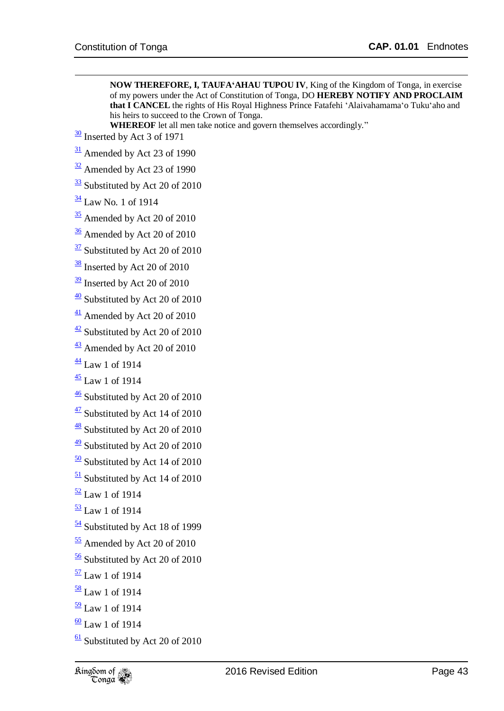$\overline{a}$ 

**NOW THEREFORE, I, TAUFA'AHAU TUPOU IV**, King of the Kingdom of Tonga, in exercise of my powers under the Act of Constitution of Tonga, DO **HEREBY NOTIFY AND PROCLAIM that I CANCEL** the rights of His Royal Highness Prince Fatafehi 'Alaivahamama'o Tuku'aho and his heirs to succeed to the Crown of Tonga.

**WHEREOF** let all men take notice and govern themselves accordingly."

- <span id="page-42-0"></span>[30](#page-14-4) Inserted by Act 3 of 1971
- <span id="page-42-1"></span> $\frac{31}{21}$  $\frac{31}{21}$  $\frac{31}{21}$  Amended by Act 23 of 1990
- <span id="page-42-2"></span>[32](#page-15-7) Amended by Act 23 of 1990
- <span id="page-42-3"></span> $\frac{33}{2}$  $\frac{33}{2}$  $\frac{33}{2}$  Substituted by Act 20 of 2010
- <span id="page-42-4"></span> $\frac{34}{2}$  $\frac{34}{2}$  $\frac{34}{2}$  Law No. 1 of 1914
- <span id="page-42-5"></span> $\frac{35}{20}$  $\frac{35}{20}$  $\frac{35}{20}$  Amended by Act 20 of 2010
- <span id="page-42-6"></span>[36](#page-16-6) Amended by Act 20 of 2010
- <span id="page-42-7"></span> $\frac{37}{20}$  $\frac{37}{20}$  $\frac{37}{20}$  Substituted by Act 20 of 2010
- <span id="page-42-8"></span>[38](#page-17-8) Inserted by Act 20 of 2010
- <span id="page-42-9"></span> $\frac{39}{2}$  $\frac{39}{2}$  $\frac{39}{2}$  Inserted by Act 20 of 2010
- <span id="page-42-10"></span> $\frac{40}{2}$  $\frac{40}{2}$  $\frac{40}{2}$  Substituted by Act 20 of 2010
- <span id="page-42-11"></span>[41](#page-20-6) Amended by Act 20 of 2010
- <span id="page-42-12"></span> $\frac{42}{12}$  $\frac{42}{12}$  $\frac{42}{12}$  Substituted by Act 20 of 2010
- <span id="page-42-13"></span> $\frac{43}{2}$  $\frac{43}{2}$  $\frac{43}{2}$  Amended by Act 20 of 2010
- <span id="page-42-14"></span> $\frac{44}{1}$  $\frac{44}{1}$  $\frac{44}{1}$  Law 1 of 1914
- <span id="page-42-15"></span> $\frac{45}{1}$  $\frac{45}{1}$  $\frac{45}{1}$  Law 1 of 1914
- <span id="page-42-16"></span> $\frac{46}{10}$  $\frac{46}{10}$  $\frac{46}{10}$  Substituted by Act 20 of 2010
- <span id="page-42-17"></span> $\frac{47}{12}$  $\frac{47}{12}$  $\frac{47}{12}$  Substituted by Act 14 of 2010
- <span id="page-42-18"></span> $\frac{48}{10}$  $\frac{48}{10}$  $\frac{48}{10}$  Substituted by Act 20 of 2010
- <span id="page-42-19"></span> $\frac{49}{2}$  $\frac{49}{2}$  $\frac{49}{2}$  Substituted by Act 20 of 2010
- <span id="page-42-20"></span>[50](#page-22-4) Substituted by Act 14 of 2010
- <span id="page-42-21"></span>[51](#page-23-5) Substituted by Act 14 of 2010
- <span id="page-42-22"></span> $\frac{52}{2}$  $\frac{52}{2}$  $\frac{52}{2}$  Law 1 of 1914
- <span id="page-42-23"></span> $\frac{53}{2}$  $\frac{53}{2}$  $\frac{53}{2}$  Law 1 of 1914
- <span id="page-42-24"></span> $\frac{54}{2}$  $\frac{54}{2}$  $\frac{54}{2}$  Substituted by Act 18 of 1999
- <span id="page-42-25"></span> $\frac{55}{20}$  $\frac{55}{20}$  $\frac{55}{20}$  Amended by Act 20 of 2010
- <span id="page-42-26"></span>[56](#page-25-5) Substituted by Act 20 of 2010
- <span id="page-42-27"></span> $\frac{57}{2}$  $\frac{57}{2}$  $\frac{57}{2}$  Law 1 of 1914
- <span id="page-42-28"></span> $\frac{58}{2}$  $\frac{58}{2}$  $\frac{58}{2}$  Law 1 of 1914
- <span id="page-42-29"></span> $\frac{59}{2}$  $\frac{59}{2}$  $\frac{59}{2}$  Law 1 of 1914
- <span id="page-42-30"></span> $\frac{60}{2}$  $\frac{60}{2}$  $\frac{60}{2}$  Law 1 of 1914
- <span id="page-42-31"></span> $\frac{61}{2}$  $\frac{61}{2}$  $\frac{61}{2}$  Substituted by Act 20 of 2010